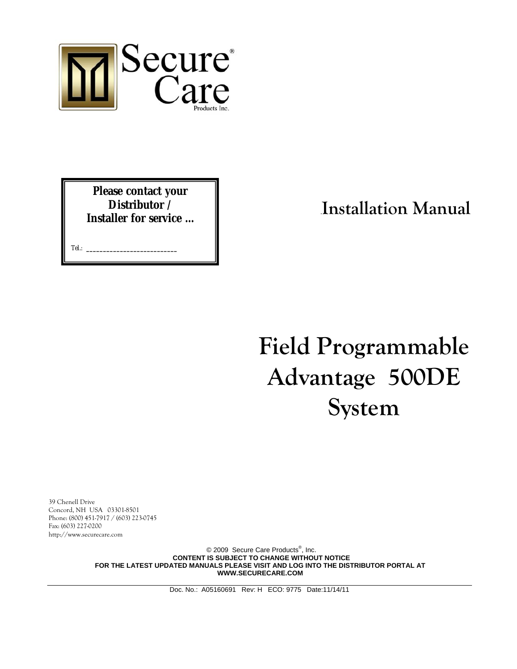

**Please contact your Distributor / Installer for service …** 

Tel.: **\_\_\_\_\_\_\_\_\_\_\_\_\_\_\_\_\_\_\_\_\_\_\_\_\_\_\_**

# .**Installation Manual**

**Field Programmable Advantage 500DE System**

39 Chenell Drive Concord, NH USA 03301-8501 Phone: (800) 451-7917 / (603) 223-0745 Fax: (603) 227-0200 http://www.securecare.com

> © 2009 Secure Care Products<sup>®</sup>, Inc. **CONTENT IS SUBJECT TO CHANGE WITHOUT NOTICE FOR THE LATEST UPDATED MANUALS PLEASE VISIT AND LOG INTO THE DISTRIBUTOR PORTAL AT WWW.SECURECARE.COM**

> > Doc. No.: A05160691 Rev: H ECO: 9775 Date:11/14/11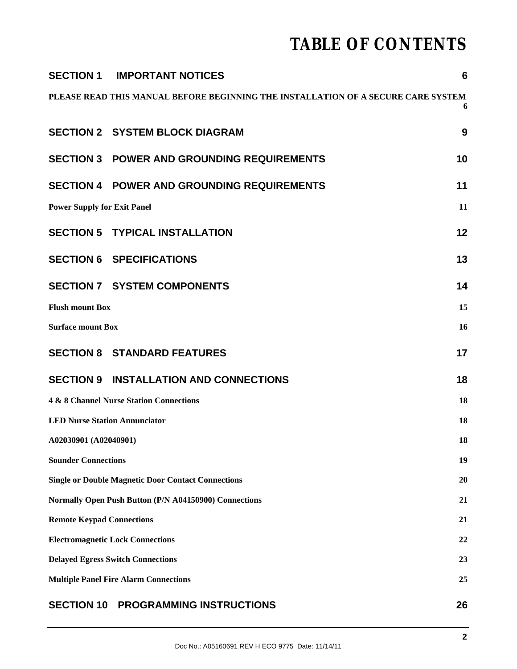# **TABLE OF CONTENTS**

|                                                    | <b>SECTION 1 IMPORTANT NOTICES</b>                                                | $6\phantom{1}6$ |
|----------------------------------------------------|-----------------------------------------------------------------------------------|-----------------|
|                                                    | PLEASE READ THIS MANUAL BEFORE BEGINNING THE INSTALLATION OF A SECURE CARE SYSTEM | 6               |
|                                                    | <b>SECTION 2 SYSTEM BLOCK DIAGRAM</b>                                             | 9               |
|                                                    | <b>SECTION 3 POWER AND GROUNDING REQUIREMENTS</b>                                 | 10              |
|                                                    | <b>SECTION 4 POWER AND GROUNDING REQUIREMENTS</b>                                 | 11              |
| <b>Power Supply for Exit Panel</b><br>11           |                                                                                   |                 |
|                                                    | <b>SECTION 5 TYPICAL INSTALLATION</b>                                             | 12              |
|                                                    | <b>SECTION 6 SPECIFICATIONS</b>                                                   | 13              |
|                                                    | <b>SECTION 7 SYSTEM COMPONENTS</b>                                                | 14              |
| <b>Flush mount Box</b>                             |                                                                                   | 15              |
| <b>Surface mount Box</b>                           |                                                                                   | 16              |
|                                                    | <b>SECTION 8 STANDARD FEATURES</b>                                                | 17              |
|                                                    | <b>SECTION 9 INSTALLATION AND CONNECTIONS</b>                                     | 18              |
| 4 & 8 Channel Nurse Station Connections            |                                                                                   | 18              |
| <b>LED Nurse Station Annunciator</b>               |                                                                                   | 18              |
| A02030901 (A02040901)                              |                                                                                   | 18              |
| <b>Sounder Connections</b>                         |                                                                                   | 19              |
|                                                    | <b>Single or Double Magnetic Door Contact Connections</b>                         | 20              |
|                                                    | Normally Open Push Button (P/N A04150900) Connections                             | 21              |
| <b>Remote Keypad Connections</b>                   |                                                                                   | 21              |
| <b>Electromagnetic Lock Connections</b>            |                                                                                   | 22              |
| <b>Delayed Egress Switch Connections</b>           |                                                                                   | 23              |
| <b>Multiple Panel Fire Alarm Connections</b><br>25 |                                                                                   |                 |
|                                                    | <b>SECTION 10 PROGRAMMING INSTRUCTIONS</b>                                        | 26              |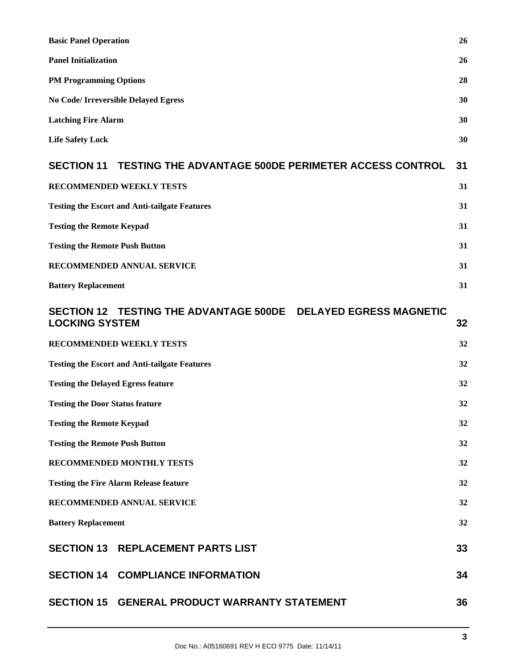| <b>Basic Panel Operation</b>                                                             | 26 |
|------------------------------------------------------------------------------------------|----|
| <b>Panel Initialization</b>                                                              | 26 |
| <b>PM Programming Options</b>                                                            | 28 |
| <b>No Code/ Irreversible Delayed Egress</b>                                              | 30 |
| <b>Latching Fire Alarm</b>                                                               | 30 |
| <b>Life Safety Lock</b>                                                                  | 30 |
| SECTION 11 TESTING THE ADVANTAGE 500DE PERIMETER ACCESS CONTROL                          | 31 |
| RECOMMENDED WEEKLY TESTS                                                                 | 31 |
| <b>Testing the Escort and Anti-tailgate Features</b>                                     | 31 |
| <b>Testing the Remote Keypad</b>                                                         | 31 |
| <b>Testing the Remote Push Button</b>                                                    | 31 |
| RECOMMENDED ANNUAL SERVICE                                                               | 31 |
| <b>Battery Replacement</b>                                                               | 31 |
| SECTION 12 TESTING THE ADVANTAGE 500DE  DELAYED EGRESS MAGNETIC<br><b>LOCKING SYSTEM</b> | 32 |
| RECOMMENDED WEEKLY TESTS                                                                 | 32 |
| <b>Testing the Escort and Anti-tailgate Features</b>                                     |    |
| <b>Testing the Delayed Egress feature</b>                                                |    |
| <b>Testing the Door Status feature</b><br>32                                             |    |
| 32<br><b>Testing the Remote Keypad</b>                                                   |    |
| <b>Testing the Remote Push Button</b>                                                    |    |
| <b>RECOMMENDED MONTHLY TESTS</b>                                                         |    |
| <b>Testing the Fire Alarm Release feature</b>                                            | 32 |
| RECOMMENDED ANNUAL SERVICE                                                               | 32 |
| <b>Battery Replacement</b>                                                               | 32 |
| <b>SECTION 13 REPLACEMENT PARTS LIST</b>                                                 | 33 |
| <b>SECTION 14 COMPLIANCE INFORMATION</b>                                                 | 34 |
| SECTION 15 GENERAL PRODUCT WARRANTY STATEMENT                                            | 36 |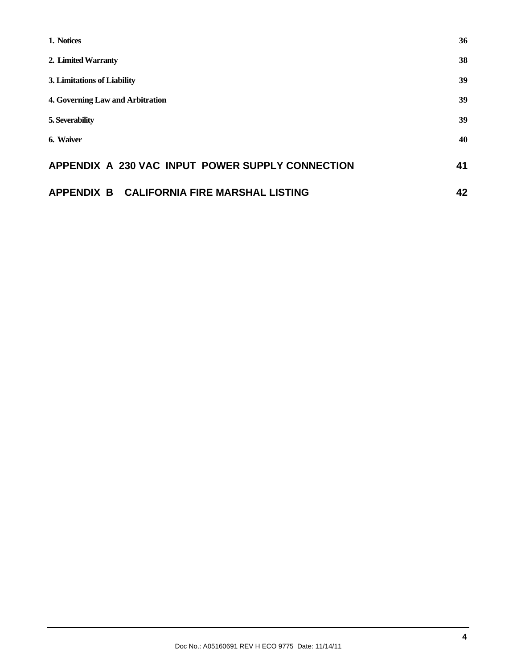| 1. Notices                                       | 36 |
|--------------------------------------------------|----|
| 2. Limited Warranty                              | 38 |
| 3. Limitations of Liability                      | 39 |
| 4. Governing Law and Arbitration                 | 39 |
| 5. Severability                                  | 39 |
| 6. Waiver                                        | 40 |
| APPENDIX A 230 VAC INPUT POWER SUPPLY CONNECTION | 41 |
| APPENDIX B CALIFORNIA FIRE MARSHAL LISTING       | 42 |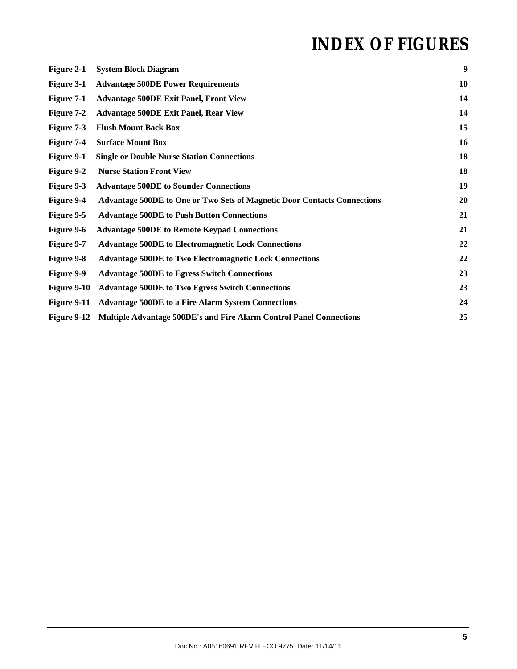# **INDEX OF FIGURES**

| Figure 2-1         | <b>System Block Diagram</b>                                                     | 9         |
|--------------------|---------------------------------------------------------------------------------|-----------|
| Figure 3-1         | <b>Advantage 500DE Power Requirements</b>                                       | <b>10</b> |
| Figure 7-1         | <b>Advantage 500DE Exit Panel, Front View</b>                                   | 14        |
| Figure 7-2         | <b>Advantage 500DE Exit Panel, Rear View</b>                                    | 14        |
| Figure 7-3         | <b>Flush Mount Back Box</b>                                                     | 15        |
| Figure 7-4         | <b>Surface Mount Box</b>                                                        | 16        |
| Figure 9-1         | <b>Single or Double Nurse Station Connections</b>                               | 18        |
| Figure 9-2         | <b>Nurse Station Front View</b>                                                 | 18        |
| Figure 9-3         | <b>Advantage 500DE to Sounder Connections</b>                                   | 19        |
| Figure 9-4         | <b>Advantage 500DE to One or Two Sets of Magnetic Door Contacts Connections</b> | <b>20</b> |
| Figure 9-5         | <b>Advantage 500DE to Push Button Connections</b>                               | 21        |
| Figure 9-6         | <b>Advantage 500DE to Remote Keypad Connections</b>                             | 21        |
| Figure 9-7         | <b>Advantage 500DE to Electromagnetic Lock Connections</b>                      | 22        |
| <b>Figure 9-8</b>  | <b>Advantage 500DE to Two Electromagnetic Lock Connections</b>                  | 22        |
| Figure 9-9         | <b>Advantage 500DE to Egress Switch Connections</b>                             | 23        |
| Figure 9-10        | <b>Advantage 500DE to Two Egress Switch Connections</b>                         | 23        |
| Figure 9-11        | <b>Advantage 500DE to a Fire Alarm System Connections</b>                       | 24        |
| <b>Figure 9-12</b> | <b>Multiple Advantage 500DE's and Fire Alarm Control Panel Connections</b>      | 25        |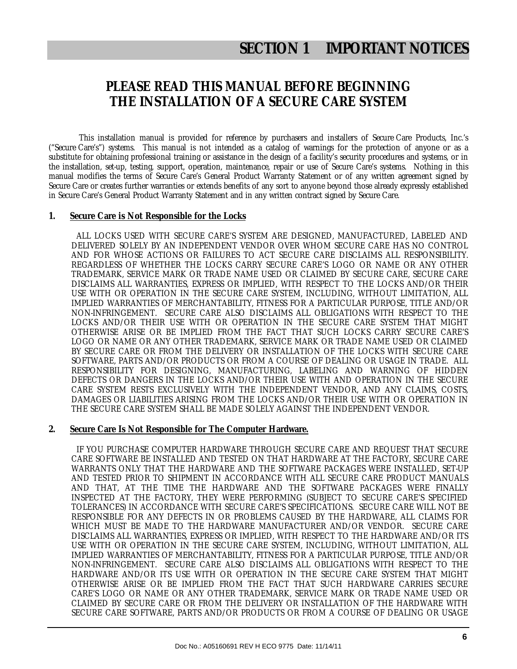### **PLEASE READ THIS MANUAL BEFORE BEGINNING THE INSTALLATION OF A SECURE CARE SYSTEM**

This installation manual is provided for reference by purchasers and installers of Secure Care Products, Inc.'s ("Secure Care's") systems. This manual is not intended as a catalog of warnings for the protection of anyone or as a substitute for obtaining professional training or assistance in the design of a facility's security procedures and systems, or in the installation, set-up, testing, support, operation, maintenance, repair or use of Secure Care's systems. Nothing in this manual modifies the terms of Secure Care's General Product Warranty Statement or of any written agreement signed by Secure Care or creates further warranties or extends benefits of any sort to anyone beyond those already expressly established in Secure Care's General Product Warranty Statement and in any written contract signed by Secure Care.

#### **1. Secure Care is Not Responsible for the Locks**

 ALL LOCKS USED WITH SECURE CARE'S SYSTEM ARE DESIGNED, MANUFACTURED, LABELED AND DELIVERED SOLELY BY AN INDEPENDENT VENDOR OVER WHOM SECURE CARE HAS NO CONTROL AND FOR WHOSE ACTIONS OR FAILURES TO ACT SECURE CARE DISCLAIMS ALL RESPONSIBILITY. REGARDLESS OF WHETHER THE LOCKS CARRY SECURE CARE'S LOGO OR NAME OR ANY OTHER TRADEMARK, SERVICE MARK OR TRADE NAME USED OR CLAIMED BY SECURE CARE, SECURE CARE DISCLAIMS ALL WARRANTIES, EXPRESS OR IMPLIED, WITH RESPECT TO THE LOCKS AND/OR THEIR USE WITH OR OPERATION IN THE SECURE CARE SYSTEM, INCLUDING, WITHOUT LIMITATION, ALL IMPLIED WARRANTIES OF MERCHANTABILITY, FITNESS FOR A PARTICULAR PURPOSE, TITLE AND/OR NON-INFRINGEMENT. SECURE CARE ALSO DISCLAIMS ALL OBLIGATIONS WITH RESPECT TO THE LOCKS AND/OR THEIR USE WITH OR OPERATION IN THE SECURE CARE SYSTEM THAT MIGHT OTHERWISE ARISE OR BE IMPLIED FROM THE FACT THAT SUCH LOCKS CARRY SECURE CARE'S LOGO OR NAME OR ANY OTHER TRADEMARK, SERVICE MARK OR TRADE NAME USED OR CLAIMED BY SECURE CARE OR FROM THE DELIVERY OR INSTALLATION OF THE LOCKS WITH SECURE CARE SOFTWARE, PARTS AND/OR PRODUCTS OR FROM A COURSE OF DEALING OR USAGE IN TRADE. ALL RESPONSIBILITY FOR DESIGNING, MANUFACTURING, LABELING AND WARNING OF HIDDEN DEFECTS OR DANGERS IN THE LOCKS AND/OR THEIR USE WITH AND OPERATION IN THE SECURE CARE SYSTEM RESTS EXCLUSIVELY WITH THE INDEPENDENT VENDOR, AND ANY CLAIMS, COSTS, DAMAGES OR LIABILITIES ARISING FROM THE LOCKS AND/OR THEIR USE WITH OR OPERATION IN THE SECURE CARE SYSTEM SHALL BE MADE SOLELY AGAINST THE INDEPENDENT VENDOR.

#### **2. Secure Care Is Not Responsible for The Computer Hardware.**

 IF YOU PURCHASE COMPUTER HARDWARE THROUGH SECURE CARE AND REQUEST THAT SECURE CARE SOFTWARE BE INSTALLED AND TESTED ON THAT HARDWARE AT THE FACTORY, SECURE CARE WARRANTS ONLY THAT THE HARDWARE AND THE SOFTWARE PACKAGES WERE INSTALLED, SET-UP AND TESTED PRIOR TO SHIPMENT IN ACCORDANCE WITH ALL SECURE CARE PRODUCT MANUALS AND THAT, AT THE TIME THE HARDWARE AND THE SOFTWARE PACKAGES WERE FINALLY INSPECTED AT THE FACTORY, THEY WERE PERFORMING (SUBJECT TO SECURE CARE'S SPECIFIED TOLERANCES) IN ACCORDANCE WITH SECURE CARE'S SPECIFICATIONS. SECURE CARE WILL NOT BE RESPONSIBLE FOR ANY DEFECTS IN OR PROBLEMS CAUSED BY THE HARDWARE, ALL CLAIMS FOR WHICH MUST BE MADE TO THE HARDWARE MANUFACTURER AND/OR VENDOR. SECURE CARE DISCLAIMS ALL WARRANTIES, EXPRESS OR IMPLIED, WITH RESPECT TO THE HARDWARE AND/OR ITS USE WITH OR OPERATION IN THE SECURE CARE SYSTEM, INCLUDING, WITHOUT LIMITATION, ALL IMPLIED WARRANTIES OF MERCHANTABILITY, FITNESS FOR A PARTICULAR PURPOSE, TITLE AND/OR NON-INFRINGEMENT. SECURE CARE ALSO DISCLAIMS ALL OBLIGATIONS WITH RESPECT TO THE HARDWARE AND/OR ITS USE WITH OR OPERATION IN THE SECURE CARE SYSTEM THAT MIGHT OTHERWISE ARISE OR BE IMPLIED FROM THE FACT THAT SUCH HARDWARE CARRIES SECURE CARE'S LOGO OR NAME OR ANY OTHER TRADEMARK, SERVICE MARK OR TRADE NAME USED OR CLAIMED BY SECURE CARE OR FROM THE DELIVERY OR INSTALLATION OF THE HARDWARE WITH SECURE CARE SOFTWARE, PARTS AND/OR PRODUCTS OR FROM A COURSE OF DEALING OR USAGE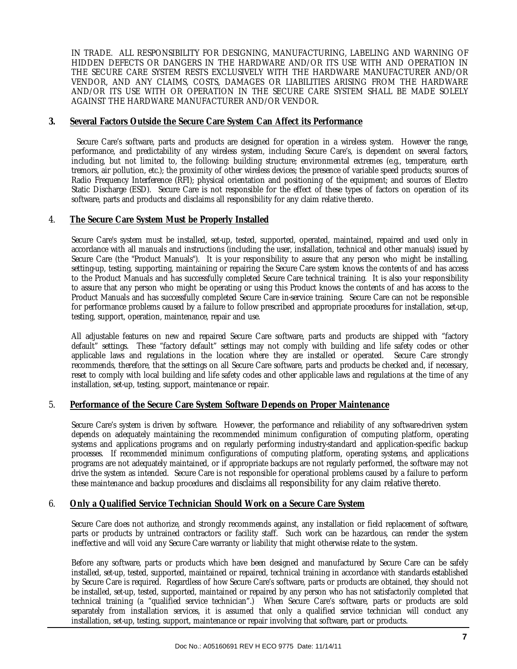IN TRADE. ALL RESPONSIBILITY FOR DESIGNING, MANUFACTURING, LABELING AND WARNING OF HIDDEN DEFECTS OR DANGERS IN THE HARDWARE AND/OR ITS USE WITH AND OPERATION IN THE SECURE CARE SYSTEM RESTS EXCLUSIVELY WITH THE HARDWARE MANUFACTURER AND/OR VENDOR, AND ANY CLAIMS, COSTS, DAMAGES OR LIABILITIES ARISING FROM THE HARDWARE AND/OR ITS USE WITH OR OPERATION IN THE SECURE CARE SYSTEM SHALL BE MADE SOLELY AGAINST THE HARDWARE MANUFACTURER AND/OR VENDOR.

#### **3. Several Factors Outside the Secure Care System Can Affect its Performance**

 Secure Care's software, parts and products are designed for operation in a wireless system. However the range, performance, and predictability of any wireless system, including Secure Care's, is dependent on several factors, including, but not limited to, the following: building structure; environmental extremes (e.g., temperature, earth tremors, air pollution, etc.); the proximity of other wireless devices; the presence of variable speed products; sources of Radio Frequency Interference (RFI); physical orientation and positioning of the equipment; and sources of Electro Static Discharge (ESD). Secure Care is not responsible for the effect of these types of factors on operation of its software, parts and products and disclaims all responsibility for any claim relative thereto.

#### 4. **The Secure Care System Must be Properly Installed**

Secure Care's system must be installed, set-up, tested, supported, operated, maintained, repaired and used only in accordance with all manuals and instructions (including the user, installation, technical and other manuals) issued by Secure Care (the "Product Manuals"). It is your responsibility to assure that any person who might be installing, setting-up, testing, supporting, maintaining or repairing the Secure Care system knows the contents of and has access to the Product Manuals and has successfully completed Secure Care technical training. It is also your responsibility to assure that any person who might be operating or using this Product knows the contents of and has access to the Product Manuals and has successfully completed Secure Care in-service training. Secure Care can not be responsible for performance problems caused by a failure to follow prescribed and appropriate procedures for installation, set-up, testing, support, operation, maintenance, repair and use.

All adjustable features on new and repaired Secure Care software, parts and products are shipped with "factory default" settings. These "factory default" settings may not comply with building and life safety codes or other applicable laws and regulations in the location where they are installed or operated. Secure Care strongly recommends, therefore, that the settings on all Secure Care software, parts and products be checked and, if necessary, reset to comply with local building and life safety codes and other applicable laws and regulations at the time of any installation, set-up, testing, support, maintenance or repair.

#### 5. **Performance of the Secure Care System Software Depends on Proper Maintenance**

Secure Care's system is driven by software. However, the performance and reliability of any software-driven system depends on adequately maintaining the recommended minimum configuration of computing platform, operating systems and applications programs and on regularly performing industry-standard and application-specific backup processes. If recommended minimum configurations of computing platform, operating systems, and applications programs are not adequately maintained, or if appropriate backups are not regularly performed, the software may not drive the system as intended. Secure Care is not responsible for operational problems caused by a failure to perform these maintenance and backup procedures and disclaims all responsibility for any claim relative thereto.

#### 6. **Only a Qualified Service Technician Should Work on a Secure Care System**

Secure Care does not authorize, and strongly recommends against, any installation or field replacement of software, parts or products by untrained contractors or facility staff. Such work can be hazardous, can render the system ineffective and will void any Secure Care warranty or liability that might otherwise relate to the system.

Before any software, parts or products which have been designed and manufactured by Secure Care can be safely installed, set-up, tested, supported, maintained or repaired, technical training in accordance with standards established by Secure Care is required. Regardless of how Secure Care's software, parts or products are obtained, they should not be installed, set-up, tested, supported, maintained or repaired by any person who has not satisfactorily completed that technical training (a "qualified service technician".) When Secure Care's software, parts or products are sold separately from installation services, it is assumed that only a qualified service technician will conduct any installation, set-up, testing, support, maintenance or repair involving that software, part or products.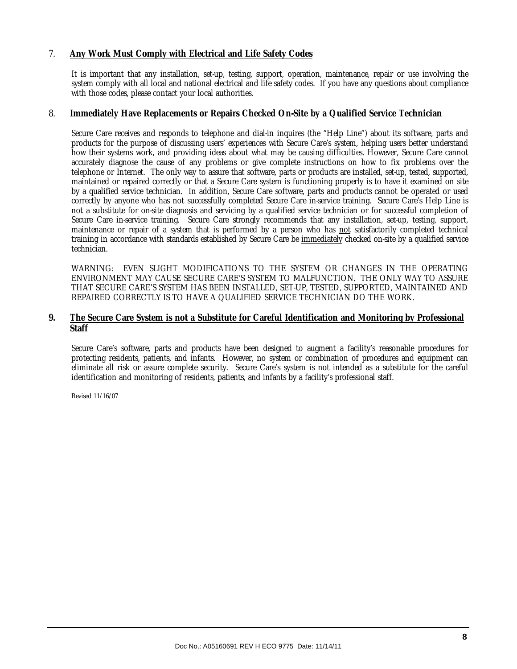#### 7. **Any Work Must Comply with Electrical and Life Safety Codes**

It is important that any installation, set-up, testing, support, operation, maintenance, repair or use involving the system comply with all local and national electrical and life safety codes. If you have any questions about compliance with those codes, please contact your local authorities.

#### 8. **Immediately Have Replacements or Repairs Checked On-Site by a Qualified Service Technician**

Secure Care receives and responds to telephone and dial-in inquires (the "Help Line") about its software, parts and products for the purpose of discussing users' experiences with Secure Care's system, helping users better understand how their systems work, and providing ideas about what may be causing difficulties. However, Secure Care cannot accurately diagnose the cause of any problems or give complete instructions on how to fix problems over the telephone or Internet. The only way to assure that software, parts or products are installed, set-up, tested, supported, maintained or repaired correctly or that a Secure Care system is functioning properly is to have it examined on site by a qualified service technician. In addition, Secure Care software, parts and products cannot be operated or used correctly by anyone who has not successfully completed Secure Care in-service training. Secure Care's Help Line is not a substitute for on-site diagnosis and servicing by a qualified service technician or for successful completion of Secure Care in-service training. Secure Care strongly recommends that any installation, set-up, testing, support, maintenance or repair of a system that is performed by a person who has not satisfactorily completed technical training in accordance with standards established by Secure Care be immediately checked on-site by a qualified service technician.

WARNING: EVEN SLIGHT MODIFICATIONS TO THE SYSTEM OR CHANGES IN THE OPERATING ENVIRONMENT MAY CAUSE SECURE CARE'S SYSTEM TO MALFUNCTION. THE ONLY WAY TO ASSURE THAT SECURE CARE'S SYSTEM HAS BEEN INSTALLED, SET-UP, TESTED, SUPPORTED, MAINTAINED AND REPAIRED CORRECTLY IS TO HAVE A QUALIFIED SERVICE TECHNICIAN DO THE WORK.

#### **9. The Secure Care System is not a Substitute for Careful Identification and Monitoring by Professional Staff**

Secure Care's software, parts and products have been designed to augment a facility's reasonable procedures for protecting residents, patients, and infants. However, no system or combination of procedures and equipment can eliminate all risk or assure complete security. Secure Care's system is not intended as a substitute for the careful identification and monitoring of residents, patients, and infants by a facility's professional staff.

Revised 11/16/07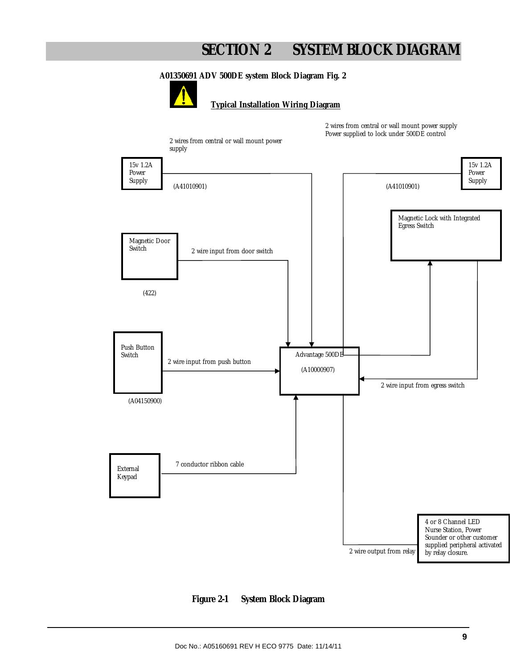# **SECTION 2 SYSTEM BLOCK DIAGRAM**

#### **A01350691 ADV 500DE system Block Diagram Fig. 2**



#### **Typical Installation Wiring Diagram**

2 wires from central or wall mount power supply Power supplied to lock under 500DE control



**Figure 2-1 System Block Diagram**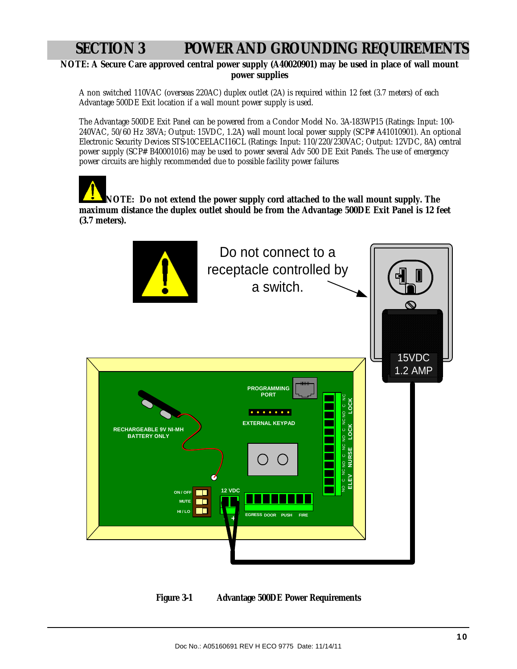# **SECTION 3 POWER AND GROUNDING REQUIREMENTS**

**NOTE: A Secure Care approved central power supply (A40020901) may be used in place of wall mount power supplies**

A non switched 110VAC (overseas 220AC) duplex outlet (2A) is required within 12 feet (3.7 meters) of each Advantage 500DE Exit location if a wall mount power supply is used.

The Advantage 500DE Exit Panel can be powered from a Condor Model No. 3A-183WP15 (Ratings: Input: 100- 240VAC, 50/60 Hz 38VA; Output: 15VDC, 1.2A) wall mount local power supply (SCP# A41010901). An optional Electronic Security Devices STS-10CEELACI16CL (Ratings: Input: 110/220/230VAC; Output: 12VDC, 8A) central power supply (SCP# B40001016) may be used to power several Adv 500 DE Exit Panels. The use of emergency power circuits are highly recommended due to possible facility power failures

**NOTE: Do not extend the power supply cord attached to the wall mount supply. The maximum distance the duplex outlet should be from the Advantage 500DE Exit Panel is 12 feet (3.7 meters).** 



**Figure 3-1 Advantage 500DE Power Requirements**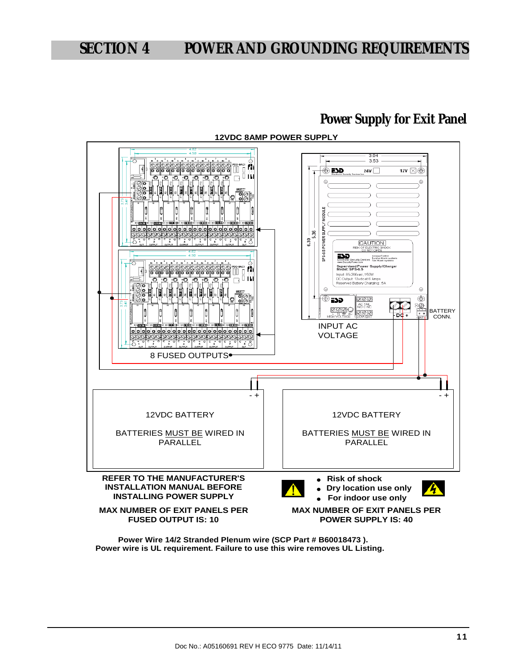### **Power Supply for Exit Panel**



**12VDC 8AMP POWER SUPPLY**

**Power wire is UL requirement. Failure to use this wire removes UL Listing. Power Wire 14/2 Stranded Plenum wire (SCP Part # B60018473 ).**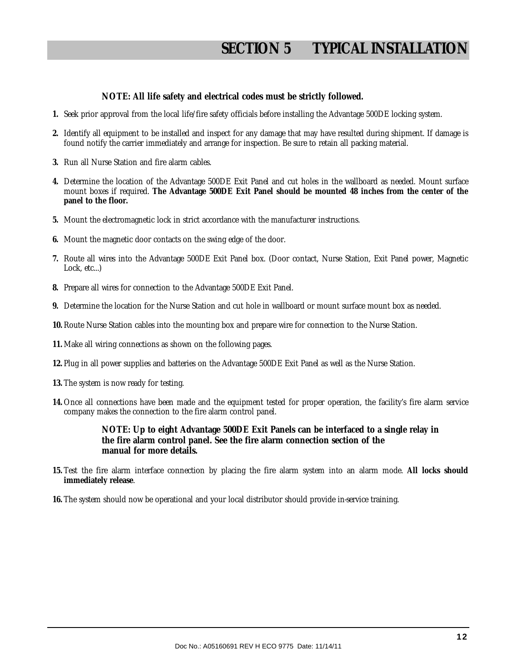# **SECTION 5 TYPICAL INSTALLATION**

#### **NOTE: All life safety and electrical codes must be strictly followed.**

- **1.** Seek prior approval from the local life/fire safety officials before installing the Advantage 500DE locking system.
- **2.** Identify all equipment to be installed and inspect for any damage that may have resulted during shipment. If damage is found notify the carrier immediately and arrange for inspection. Be sure to retain all packing material.
- **3.** Run all Nurse Station and fire alarm cables.
- **4.** Determine the location of the Advantage 500DE Exit Panel and cut holes in the wallboard as needed. Mount surface mount boxes if required. **The Advantage 500DE Exit Panel should be mounted 48 inches from the center of the panel to the floor.**
- **5.** Mount the electromagnetic lock in strict accordance with the manufacturer instructions.
- **6.** Mount the magnetic door contacts on the swing edge of the door.
- **7.** Route all wires into the Advantage 500DE Exit Panel box. (Door contact, Nurse Station, Exit Panel power, Magnetic Lock, etc...)
- **8.** Prepare all wires for connection to the Advantage 500DE Exit Panel.
- **9.** Determine the location for the Nurse Station and cut hole in wallboard or mount surface mount box as needed.
- **10.** Route Nurse Station cables into the mounting box and prepare wire for connection to the Nurse Station.
- **11.** Make all wiring connections as shown on the following pages.
- **12.** Plug in all power supplies and batteries on the Advantage 500DE Exit Panel as well as the Nurse Station.
- **13.** The system is now ready for testing.
- **14.** Once all connections have been made and the equipment tested for proper operation, the facility's fire alarm service company makes the connection to the fire alarm control panel.

**NOTE: Up to eight Advantage 500DE Exit Panels can be interfaced to a single relay in the fire alarm control panel. See the fire alarm connection section of the manual for more details.** 

- **15.** Test the fire alarm interface connection by placing the fire alarm system into an alarm mode. **All locks should immediately release**.
- **16.** The system should now be operational and your local distributor should provide in-service training.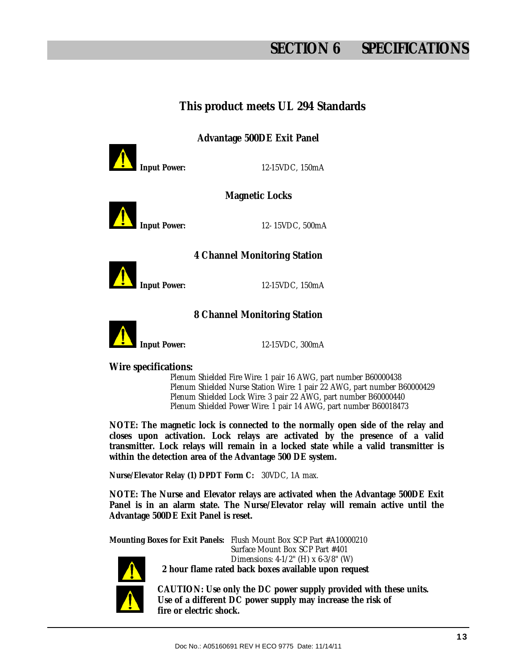# **SECTION 6 SPECIFICATIONS**

### **This product meets UL 294 Standards**

**Advantage 500DE Exit Panel** 



**Input Power:** 12-15VDC, 150mA

**Magnetic Locks** 



**Input Power:** 12- 15VDC, 500mA

### **4 Channel Monitoring Station**



**Input Power:** 12-15VDC, 150mA

### **8 Channel Monitoring Station**



**Input Power:** 12-15VDC, 300mA

**Wire specifications:** 

 Plenum Shielded Fire Wire: 1 pair 16 AWG, part number B60000438 Plenum Shielded Nurse Station Wire: 1 pair 22 AWG, part number B60000429 Plenum Shielded Lock Wire: 3 pair 22 AWG, part number B60000440 Plenum Shielded Power Wire: 1 pair 14 AWG, part number B60018473

**NOTE: The magnetic lock is connected to the normally open side of the relay and closes upon activation. Lock relays are activated by the presence of a valid transmitter. Lock relays will remain in a locked state while a valid transmitter is within the detection area of the Advantage 500 DE system.** 

**Nurse/Elevator Relay (1) DPDT Form C:** 30VDC, 1A max.

**NOTE: The Nurse and Elevator relays are activated when the Advantage 500DE Exit Panel is in an alarm state. The Nurse/Elevator relay will remain active until the Advantage 500DE Exit Panel is reset.** 

**Mounting Boxes for Exit Panels:** Flush Mount Box SCP Part #A10000210 Surface Mount Box SCP Part #401 Dimensions: 4-1/2" (H) x 6-3/8" (W)  **2 hour flame rated back boxes available upon request**

> **CAUTION: Use only the DC power supply provided with these units. Use of a different DC power supply may increase the risk of fire or electric shock.**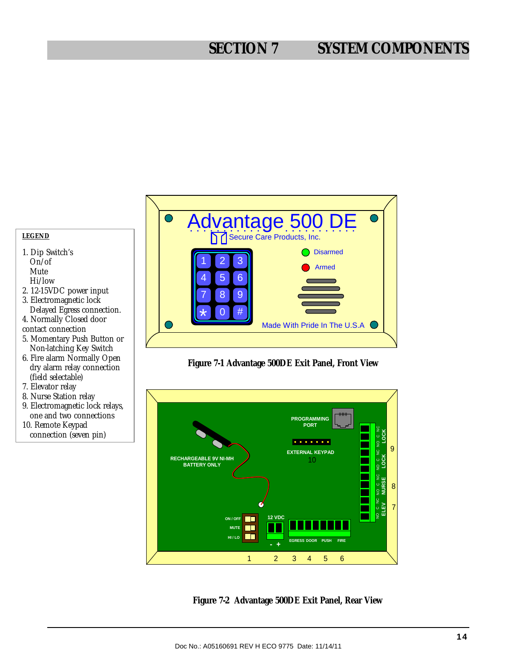# **SECTION 7 SYSTEM COMPONENTS**









#### **LEGEND**

- 1. Dip Switch's On/of Mute Hi/low
- 2. 12-15VDC power input 3. Electromagnetic lock
- Delayed Egress connection. 4. Normally Closed door
- contact connection
- 5. Momentary Push Button or Non-latching Key Switch
- 6. Fire alarm Normally Open dry alarm relay connection (field selectable)
- 7. Elevator relay
- 8. Nurse Station relay
- 9. Electromagnetic lock relays, one and two connections 10. Remote Keypad
- connection (seven pin)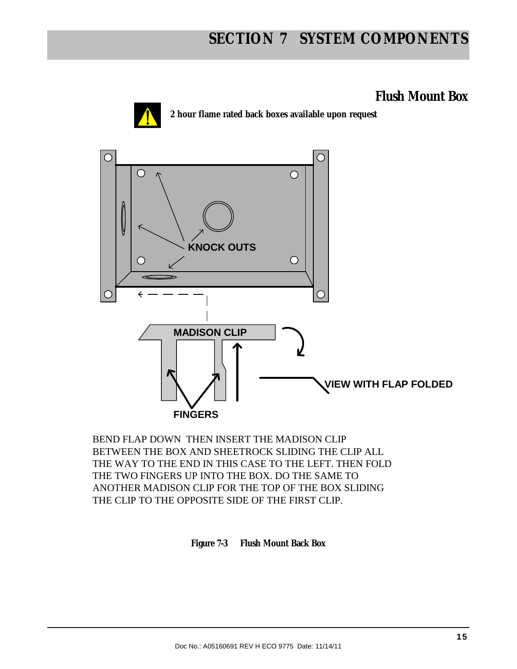# **SECTION 7 SYSTEM COMPONENTS**

### **Flush Mount Box**



**2 hour flame rated back boxes available upon request**



BEND FLAP DOWN THEN INSERT THE MADISON CLIP BETWEEN THE BOX AND SHEETROCK SLIDING THE CLIP ALL THE WAY TO THE END IN THIS CASE TO THE LEFT. THEN FOLD THE TWO FINGERS UP INTO THE BOX. DO THE SAME TO ANOTHER MADISON CLIP FOR THE TOP OF THE BOX SLIDING THE CLIP TO THE OPPOSITE SIDE OF THE FIRST CLIP.

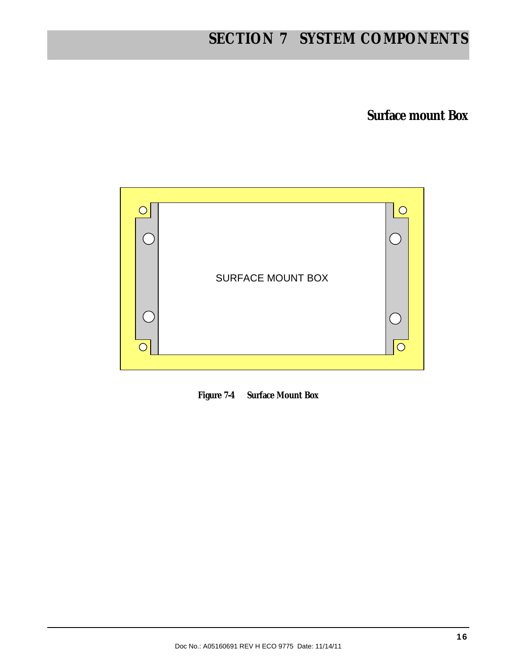# **SECTION 7 SYSTEM COMPONENTS**

**Surface mount Box** 



**Figure 7-4 Surface Mount Box**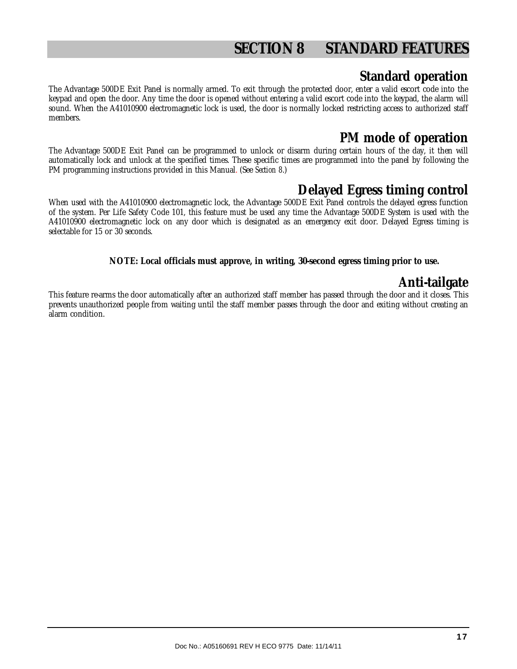# **SECTION 8 STANDARD FEATURES**

### **Standard operation**

The Advantage 500DE Exit Panel is normally armed. To exit through the protected door, enter a valid escort code into the keypad and open the door. Any time the door is opened without entering a valid escort code into the keypad, the alarm will sound. When the A41010900 electromagnetic lock is used, the door is normally locked restricting access to authorized staff members.

### **PM mode of operation**

The Advantage 500DE Exit Panel can be programmed to unlock or disarm during certain hours of the day, it then will automatically lock and unlock at the specified times. These specific times are programmed into the panel by following the PM programming instructions provided in this Manual. (See *Section 8*.)

### **Delayed Egress timing control**

When used with the A41010900 electromagnetic lock, the Advantage 500DE Exit Panel controls the delayed egress function of the system. Per Life Safety Code 101, this feature must be used any time the Advantage 500DE System is used with the A41010900 electromagnetic lock on any door which is designated as an emergency exit door. Delayed Egress timing is selectable for 15 or 30 seconds.

**NOTE: Local officials must approve, in writing, 30-second egress timing prior to use.** 

### **Anti-tailgate**

This feature re-arms the door automatically after an authorized staff member has passed through the door and it closes. This prevents unauthorized people from waiting until the staff member passes through the door and exiting without creating an alarm condition.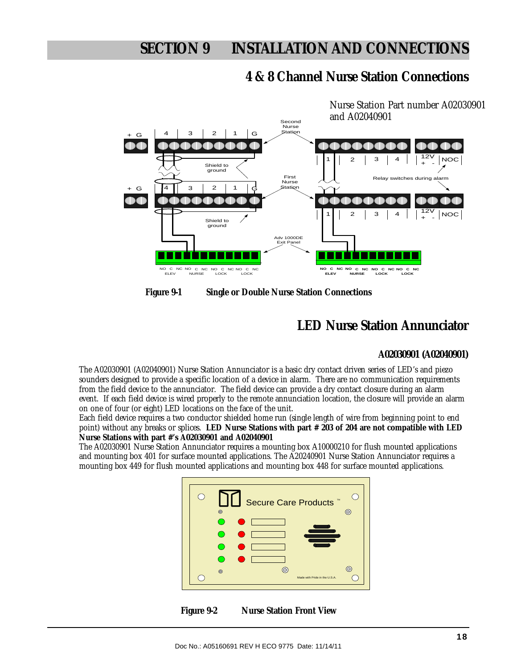### **4 & 8 Channel Nurse Station Connections**



**Figure 9-1 Single or Double Nurse Station Connections** 

### **LED Nurse Station Annunciator**

#### **A02030901 (A02040901)**

The A02030901 (A02040901) Nurse Station Annunciator is a basic dry contact driven series of LED's and piezo sounders designed to provide a specific location of a device in alarm. There are no communication requirements from the field device to the annunciator. The field device can provide a dry contact closure during an alarm event. If each field device is wired properly to the remote annunciation location, the closure will provide an alarm on one of four (or eight) LED locations on the face of the unit.

Each field device requires a two conductor shielded home run (single length of wire from beginning point to end point) without any breaks or splices. **LED Nurse Stations with part # 203 of 204 are not compatible with LED Nurse Stations with part #'s A02030901 and A02040901** 

The A02030901 Nurse Station Annunciator requires a mounting box A10000210 for flush mounted applications and mounting box 401 for surface mounted applications. The A20240901 Nurse Station Annunciator requires a mounting box 449 for flush mounted applications and mounting box 448 for surface mounted applications.



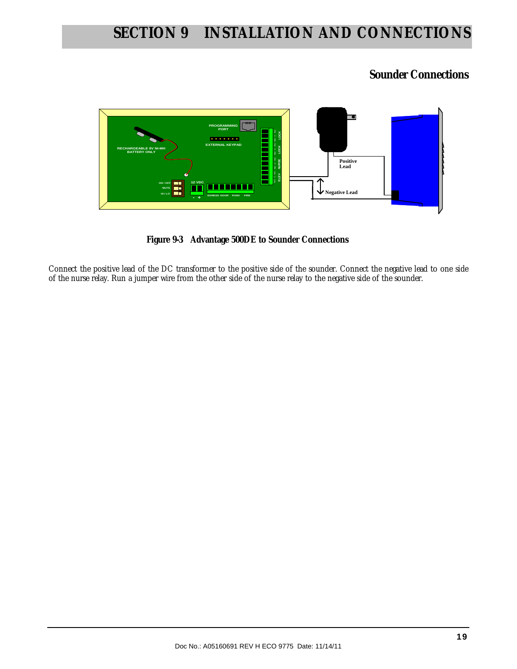### **Sounder Connections**



 **Figure 9-3 Advantage 500DE to Sounder Connections** 

Connect the positive lead of the DC transformer to the positive side of the sounder. Connect the negative lead to one side of the nurse relay. Run a jumper wire from the other side of the nurse relay to the negative side of the sounder.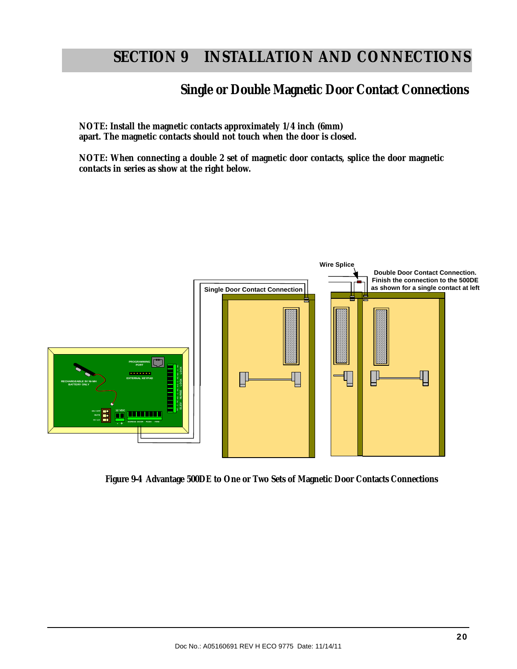**NOTE: Install the magnetic contacts approximately 1/4 inch (6mm) apart. The magnetic contacts should not touch when the door is closed.** 

**NOTE: When connecting a double 2 set of magnetic door contacts, splice the door magnetic contacts in series as show at the right below.** 



 **Figure 9-4 Advantage 500DE to One or Two Sets of Magnetic Door Contacts Connections**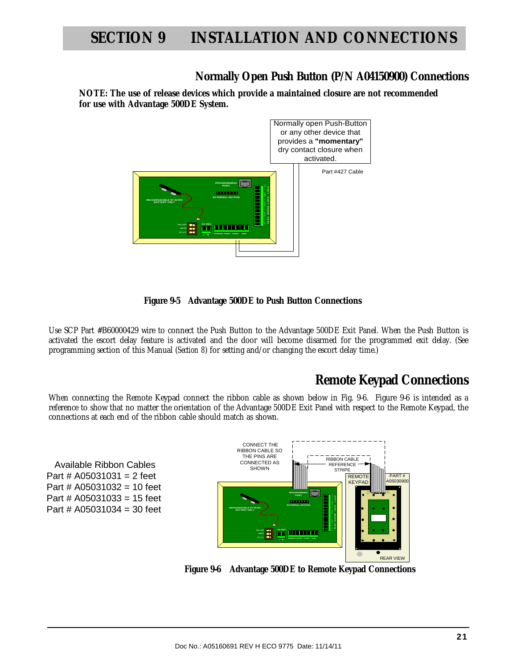### **Normally Open Push Button (P/N A04150900) Connections**

**NOTE: The use of release devices which provide a maintained closure are not recommended for use with Advantage 500DE System.** 



 **Figure 9-5 Advantage 500DE to Push Button Connections** 

Use SCP Part #B60000429 wire to connect the Push Button to the Advantage 500DE Exit Panel. When the Push Button is activated the escort delay feature is activated and the door will become disarmed for the programmed exit delay. (See programming section of this Manual (*Section 8*) for setting and/or changing the escort delay time.)

### **Remote Keypad Connections**

When connecting the Remote Keypad connect the ribbon cable as shown below in Fig. 9-6. Figure 9-6 is intended as a reference to show that no matter the orientation of the Advantage 500DE Exit Panel with respect to the Remote Keypad, the connections at each end of the ribbon cable should match as shown.

 Available Ribbon Cables Part #  $A05031031 = 2$  feet Part # A05031032 = 10 feet Part # A05031033 = 15 feet Part # A05031034 = 30 feet



**Figure 9-6 Advantage 500DE to Remote Keypad Connections**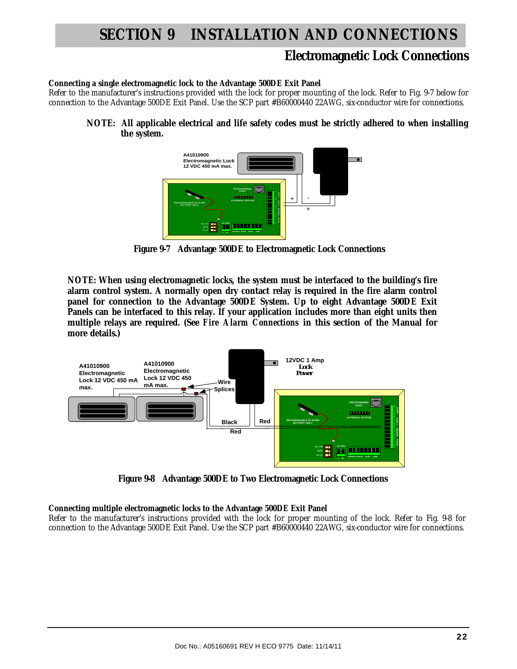### **Electromagnetic Lock Connections**

#### **Connecting a single electromagnetic lock to the Advantage 500DE Exit Panel**

Refer to the manufacturer's instructions provided with the lock for proper mounting of the lock. Refer to Fig. 9-7 below for connection to the Advantage 500DE Exit Panel. Use the SCP part #B60000440 22AWG, six-conductor wire for connections.

**NOTE: All applicable electrical and life safety codes must be strictly adhered to when installing the system.** 



 **Figure 9-7 Advantage 500DE to Electromagnetic Lock Connections** 

**NOTE: When using electromagnetic locks, the system must be interfaced to the building's fire alarm control system. A normally open dry contact relay is required in the fire alarm control panel for connection to the Advantage 500DE System. Up to eight Advantage 500DE Exit Panels can be interfaced to this relay. If your application includes more than eight units then multiple relays are required. (See** *Fire Alarm Connections* **in this section of the Manual for more details.)** 



 **Figure 9-8 Advantage 500DE to Two Electromagnetic Lock Connections** 

#### **Connecting multiple electromagnetic locks to the Advantage 500DE Exit Panel**

Refer to the manufacturer's instructions provided with the lock for proper mounting of the lock. Refer to Fig. 9-8 for connection to the Advantage 500DE Exit Panel. Use the SCP part #B60000440 22AWG, six-conductor wire for connections.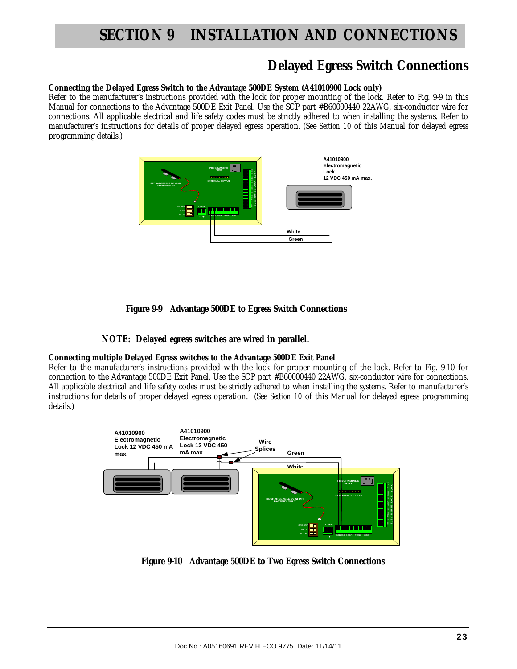### **Delayed Egress Switch Connections**

#### **Connecting the Delayed Egress Switch to the Advantage 500DE System (A41010900 Lock only)**

Refer to the manufacturer's instructions provided with the lock for proper mounting of the lock. Refer to Fig. 9-9 in this Manual for connections to the Advantage 500DE Exit Panel. Use the SCP part #B60000440 22AWG, six-conductor wire for connections. All applicable electrical and life safety codes must be strictly adhered to when installing the systems. Refer to manufacturer's instructions for details of proper delayed egress operation. (See *Section 10* of this Manual for delayed egress programming details.)



 **Figure 9-9 Advantage 500DE to Egress Switch Connections** 

#### **NOTE: Delayed egress switches are wired in parallel.**

#### **Connecting multiple Delayed Egress switches to the Advantage 500DE Exit Panel**

Refer to the manufacturer's instructions provided with the lock for proper mounting of the lock. Refer to Fig. 9-10 for connection to the Advantage 500DE Exit Panel. Use the SCP part #B60000440 22AWG, six-conductor wire for connections. All applicable electrical and life safety codes must be strictly adhered to when installing the systems. Refer to manufacturer's instructions for details of proper delayed egress operation. (See *Section 10* of this Manual for delayed egress programming details.)



 **Figure 9-10 Advantage 500DE to Two Egress Switch Connections**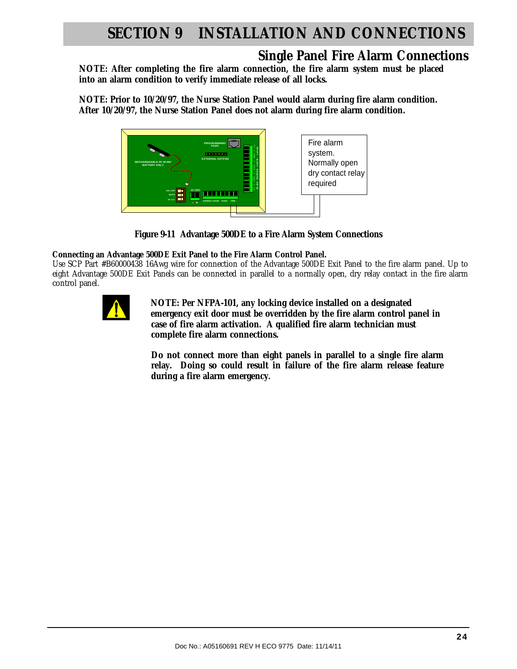### **Single Panel Fire Alarm Connections**

**NOTE: After completing the fire alarm connection, the fire alarm system must be placed into an alarm condition to verify immediate release of all locks.** 

**NOTE: Prior to 10/20/97, the Nurse Station Panel would alarm during fire alarm condition. After 10/20/97, the Nurse Station Panel does not alarm during fire alarm condition.** 



**Figure 9-11 Advantage 500DE to a Fire Alarm System Connections** 

#### **Connecting an Advantage 500DE Exit Panel to the Fire Alarm Control Panel.**

Use SCP Part #B60000438 16Awg wire for connection of the Advantage 500DE Exit Panel to the fire alarm panel. Up to eight Advantage 500DE Exit Panels can be connected in parallel to a normally open, dry relay contact in the fire alarm control panel.



 **NOTE: Per NFPA-101, any locking device installed on a designated emergency exit door must be overridden by the fire alarm control panel in case of fire alarm activation. A qualified fire alarm technician must complete fire alarm connections.** 

**Do not connect more than eight panels in parallel to a single fire alarm relay. Doing so could result in failure of the fire alarm release feature during a fire alarm emergency.**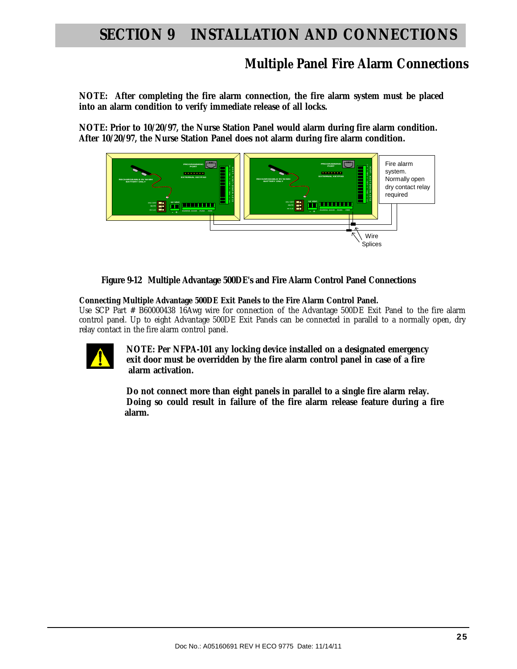### **Multiple Panel Fire Alarm Connections**

**NOTE: After completing the fire alarm connection, the fire alarm system must be placed into an alarm condition to verify immediate release of all locks.** 

**NOTE: Prior to 10/20/97, the Nurse Station Panel would alarm during fire alarm condition. After 10/20/97, the Nurse Station Panel does not alarm during fire alarm condition.** 



**Figure 9-12 Multiple Advantage 500DE's and Fire Alarm Control Panel Connections** 

 **Connecting Multiple Advantage 500DE Exit Panels to the Fire Alarm Control Panel.** 

Use SCP Part # B60000438 16Awg wire for connection of the Advantage 500DE Exit Panel to the fire alarm control panel. Up to eight Advantage 500DE Exit Panels can be connected in parallel to a normally open, dry relay contact in the fire alarm control panel.



 **NOTE: Per NFPA-101 any locking device installed on a designated emergency exit door must be overridden by the fire alarm control panel in case of a fire alarm activation.** 

 **Do not connect more than eight panels in parallel to a single fire alarm relay. Doing so could result in failure of the fire alarm release feature during a fire alarm.**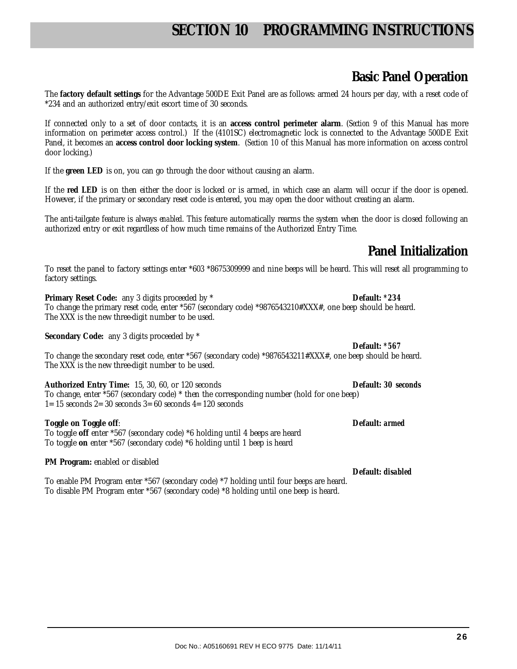### **Basic Panel Operation**

The **factory default settings** for the Advantage 500DE Exit Panel are as follows: armed 24 hours per day, with a reset code of \*234 and an authorized entry/exit escort time of 30 seconds.

If connected only to a set of door contacts, it is an **access control perimeter alarm**. (*Section 9* of this Manual has more information on perimeter access control.) If the (4101SC) electromagnetic lock is connected to the Advantage 500DE Exit Panel, it becomes an **access control door locking system**. (*Section 10* of this Manual has more information on access control door locking.)

If the **green LED** is on, you can go through the door without causing an alarm.

If the **red LED** is on then either the door is locked or is armed, in which case an alarm will occur if the door is opened. However, if the primary or secondary reset code is entered, you may open the door without creating an alarm.

The anti-tailgate feature is always *enabled*. This feature automatically rearms the system when the door is closed following an authorized entry or exit regardless of how much time remains of the Authorized Entry Time.

### **Panel Initialization**

**Default:** *\*567*

**Default:** *disabled*

To reset the panel to factory settings enter \*603 \*8675309999 and nine beeps will be heard. This will reset all programming to factory settings.

**Primary Reset Code:** any 3 digits proceeded by \* **Default:** *\*234* To change the primary reset code, enter \*567 (secondary code) \*9876543210#XXX#, one beep should be heard. The XXX is the new three-digit number to be used.

**Secondary Code:** any 3 digits proceeded by \*

To change the secondary reset code, enter \*567 (secondary code) \*9876543211#XXX#, one beep should be heard. The XXX is the new three-digit number to be used.

**Authorized Entry Time:** 15, 30, 60, or 120 seconds **Default:** *30 seconds*  To change, enter \*567 (secondary code) \* then the corresponding number (hold for one beep)  $1= 15$  seconds  $2= 30$  seconds  $3= 60$  seconds  $4= 120$  seconds

#### **Toggle on Toggle off**: **Default:** *armed*

To toggle **off** enter \*567 (secondary code) \*6 holding until 4 beeps are heard To toggle **on** enter \*567 (secondary code) \*6 holding until 1 beep is heard

#### **PM Program:** enabled or disabled

To enable PM Program enter \*567 (secondary code) \*7 holding until four beeps are heard. To disable PM Program enter \*567 (secondary code) \*8 holding until one beep is heard.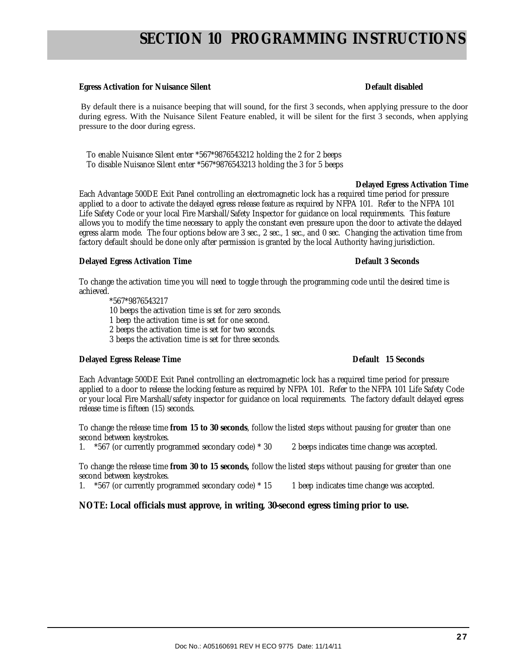#### **Egress Activation for Nuisance Silent Community Community Community Community Community Community Community Community Community Community Community Community Community Community Community Community Community Community Com**

By default there is a nuisance beeping that will sound, for the first 3 seconds, when applying pressure to the door during egress. With the Nuisance Silent Feature enabled, it will be silent for the first 3 seconds, when applying pressure to the door during egress.

 To enable Nuisance Silent enter \*567\*9876543212 holding the 2 for 2 beeps To disable Nuisance Silent enter \*567\*9876543213 holding the 3 for 5 beeps

#### **Delayed Egress Activation Time**

Each Advantage 500DE Exit Panel controlling an electromagnetic lock has a required time period for pressure applied to a door to activate the delayed egress release feature as required by NFPA 101. Refer to the NFPA 101 Life Safety Code or your local Fire Marshall/Safety Inspector for guidance on local requirements. This feature allows you to modify the time necessary to apply the constant even pressure upon the door to activate the delayed egress alarm mode. The four options below are 3 sec., 2 sec., 1 sec., and 0 sec. Changing the activation time from factory default should be done only after permission is granted by the local Authority having jurisdiction.

#### **Delayed Egress Activation Time Default 3 Seconds**

To change the activation time you will need to toggle through the programming code until the desired time is achieved.

\*567\*9876543217 10 beeps the activation time is set for zero seconds. 1 beep the activation time is set for one second. 2 beeps the activation time is set for two seconds. 3 beeps the activation time is set for three seconds.

#### **Delayed Egress Release Time Default 15 Seconds**

Each Advantage 500DE Exit Panel controlling an electromagnetic lock has a required time period for pressure applied to a door to release the locking feature as required by NFPA 101. Refer to the NFPA 101 Life Safety Code or your local Fire Marshall/safety inspector for guidance on local requirements. The factory default delayed egress release time is fifteen (15) seconds.

To change the release time **from 15 to 30 seconds**, follow the listed steps without pausing for greater than one second between keystrokes.

1. \*567 (or currently programmed secondary code) \* 30 2 beeps indicates time change was accepted.

To change the release time **from 30 to 15 seconds,** follow the listed steps without pausing for greater than one second between keystrokes.

1. \*567 (or currently programmed secondary code) \* 15 1 beep indicates time change was accepted.

**NOTE: Local officials must approve, in writing, 30-second egress timing prior to use.**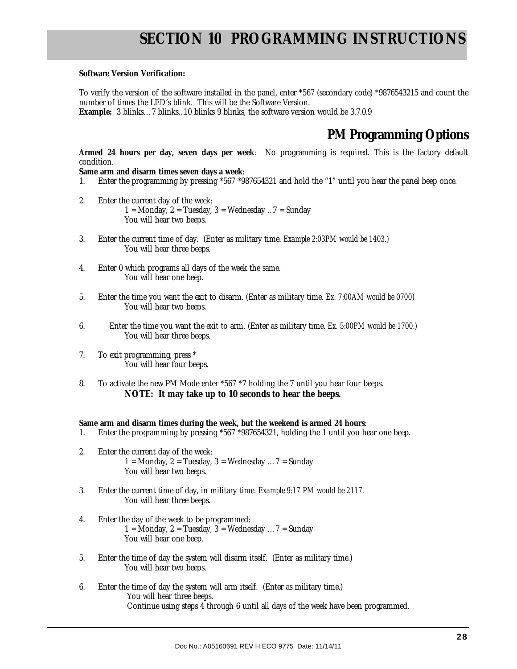#### **Software Version Verification:**

To verify the version of the software installed in the panel, enter \*567 (secondary code) \*9876543215 and count the number of times the LED's blink. This will be the Software Version. **Example:** 3 blinks… 7 blinks…10 blinks 9 blinks, the software version would be 3.7.0.9

### **PM Programming Options**

**Armed 24 hours per day, seven days per week**: No programming is required. This is the factory default condition.

**Same arm and disarm times seven days a week**:

- 1. Enter the programming by pressing \*567 \*987654321 and hold the "1" until you hear the panel beep once.
- 2. Enter the current day of the week: 1 = Monday, 2 = Tuesday, 3 = Wednesday ...  $7$  = Sunday You will hear two beeps.
- 3. Enter the current time of day. (Enter as military time. *Example 2:03PM would be 1403.*) You will hear three beeps.
- 4. Enter 0 which programs all days of the week the same. You will hear one beep.
- 5. Enter the time you want the exit to disarm. (Enter as military time. *Ex. 7:00AM would be 0700*) You will hear two beeps.
- 6. Enter the time you want the exit to arm. (Enter as military time. *Ex. 5:00PM would be 1700.*) You will hear three beeps.
- 7. To exit programming, press \* You will hear four beeps.
- 8. To activate the new PM Mode enter \*567 \*7 holding the 7 until you hear four beeps. **NOTE: It may take up to 10 seconds to hear the beeps.**

**Same arm and disarm times during the week, but the weekend is armed 24 hours**:

- 1. Enter the programming by pressing \*567 \*987654321, holding the 1 until you hear one beep.
- 2. Enter the current day of the week: 1 = Monday, 2 = Tuesday, 3 = Wednesday ...  $7$  = Sunday You will hear two beeps.
- 3. Enter the current time of day, in military time. *Example 9:17 PM would be 2117.* You will hear three beeps.
- 4. Enter the day of the week to be programmed: 1 = Monday, 2 = Tuesday, 3 = Wednesday ...  $7$  = Sunday You will hear one beep.
- 5. Enter the time of day the system will disarm itself. (Enter as military time.) You will hear two beeps.
- 6. Enter the time of day the system will arm itself. (Enter as military time.) You will hear three beeps. Continue using steps 4 through 6 until all days of the week have been programmed.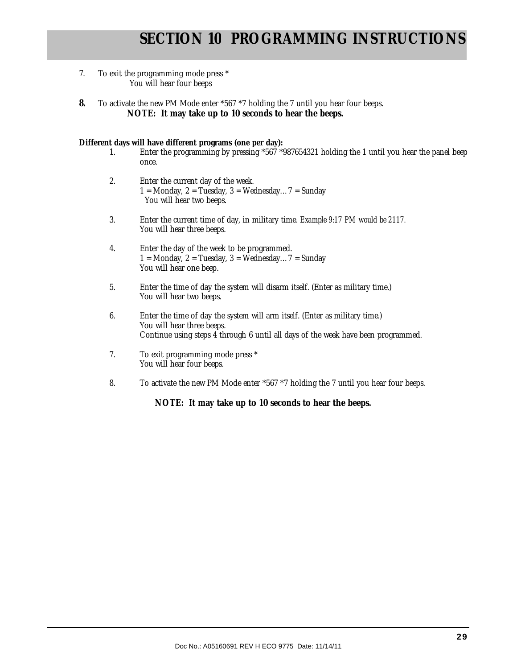- 7. To exit the programming mode press \* You will hear four beeps
- **8.** To activate the new PM Mode enter \*567 \*7 holding the 7 until you hear four beeps. **NOTE: It may take up to 10 seconds to hear the beeps.**

#### **Different days will have different programs (one per day):**

- 1. Enter the programming by pressing \*567 \*987654321 holding the 1 until you hear the panel beep once.
- 2. Enter the current day of the week. 1 = Monday, 2 = Tuesday, 3 = Wednesday...  $7$  = Sunday You will hear two beeps.
- 3. Enter the current time of day, in military time. *Example 9:17 PM would be 2117.* You will hear three beeps.
- 4. Enter the day of the week to be programmed. 1 = Monday, 2 = Tuesday, 3 = Wednesday...  $7$  = Sunday You will hear one beep.
- 5. Enter the time of day the system will disarm itself. (Enter as military time.) You will hear two beeps.
- 6. Enter the time of day the system will arm itself. (Enter as military time.) You will hear three beeps. Continue using steps 4 through 6 until all days of the week have been programmed.
- 7. To exit programming mode press \* You will hear four beeps.
- 8. To activate the new PM Mode enter \*567 \*7 holding the 7 until you hear four beeps.

**NOTE: It may take up to 10 seconds to hear the beeps.**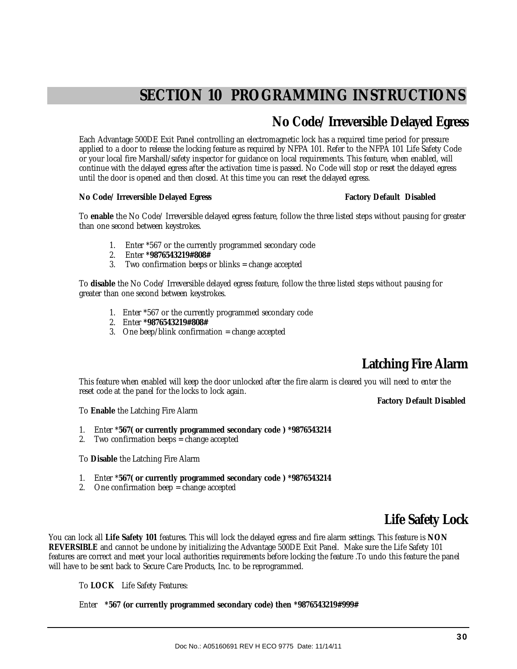### **No Code/ Irreversible Delayed Egress**

Each Advantage 500DE Exit Panel controlling an electromagnetic lock has a required time period for pressure applied to a door to release the locking feature as required by NFPA 101. Refer to the NFPA 101 Life Safety Code or your local fire Marshall/safety inspector for guidance on local requirements. This feature, when enabled, will continue with the delayed egress after the activation time is passed. No Code will stop or reset the delayed egress until the door is opened and then closed. At this time you can reset the delayed egress.

#### No Code/ Irreversible Delayed Egress **Factory Default Disabled Factory Default Disabled**

To **enable** the No Code/ Irreversible delayed egress feature, follow the three listed steps without pausing for greater than one second between keystrokes.

- 1. Enter \*567 or the currently programmed secondary code
- 2. Enter **\*9876543219#808#**
- 3. Two confirmation beeps or blinks = change accepted

To **disable** the No Code/ Irreversible delayed egress feature, follow the three listed steps without pausing for greater than one second between keystrokes.

- 1. Enter \*567 or the currently programmed secondary code
- 2. Enter **\*9876543219#808#**
- 3. One beep/blink confirmation = change accepted

### **Latching Fire Alarm**

This feature when enabled will keep the door unlocked after the fire alarm is cleared you will need to enter the reset code at the panel for the locks to lock again.

**Factory Default Disabled** 

To **Enable** the Latching Fire Alarm

- 1. Enter \***567( or currently programmed secondary code ) \*9876543214**
- 2. Two confirmation beeps = change accepted
- To **Disable** the Latching Fire Alarm
- 1. Enter \***567( or currently programmed secondary code ) \*9876543214**
- 2. One confirmation beep  $=$  change accepted

### **Life Safety Lock**

You can lock all **Life Safety 101** features. This will lock the delayed egress and fire alarm settings. This feature is **NON REVERSIBLE** and cannot be undone by initializing the Advantage 500DE Exit Panel. Make sure the Life Safety 101 features are correct and meet your local authorities requirements before locking the feature .To undo this feature the panel will have to be sent back to Secure Care Products, Inc. to be reprogrammed.

To **LOCK** Life Safety Features:

Enter **\*567 (or currently programmed secondary code) then \*9876543219#999#**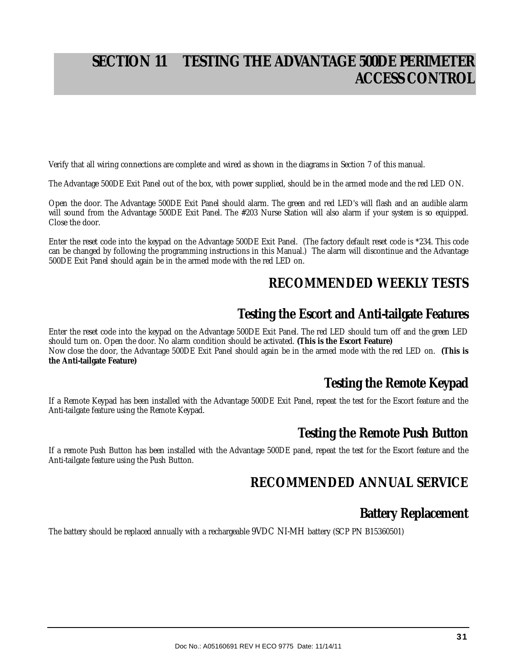# **SECTION 11 TESTING THE ADVANTAGE 500DE PERIMETER ACCESS CONTROL**

Verify that all wiring connections are complete and wired as shown in the diagrams in Section 7 of this manual.

The Advantage 500DE Exit Panel out of the box, with power supplied, should be in the armed mode and the red LED ON.

Open the door. The Advantage 500DE Exit Panel should alarm. The green and red LED's will flash and an audible alarm will sound from the Advantage 500DE Exit Panel. The #203 Nurse Station will also alarm if your system is so equipped. Close the door.

Enter the reset code into the keypad on the Advantage 500DE Exit Panel. (The factory default reset code is \*234. This code can be changed by following the programming instructions in this Manual.) The alarm will discontinue and the Advantage 500DE Exit Panel should again be in the armed mode with the red LED on.

### **RECOMMENDED WEEKLY TESTS**

### **Testing the Escort and Anti-tailgate Features**

Enter the reset code into the keypad on the Advantage 500DE Exit Panel. The red LED should turn off and the green LED should turn on. Open the door. No alarm condition should be activated. **(This is the Escort Feature)** Now close the door, the Advantage 500DE Exit Panel should again be in the armed mode with the red LED on. **(This is the Anti-tailgate Feature)** 

### **Testing the Remote Keypad**

If a Remote Keypad has been installed with the Advantage 500DE Exit Panel, repeat the test for the Escort feature and the Anti-tailgate feature using the Remote Keypad.

### **Testing the Remote Push Button**

If a remote Push Button has been installed with the Advantage 500DE panel, repeat the test for the Escort feature and the Anti-tailgate feature using the Push Button.

### **RECOMMENDED ANNUAL SERVICE**

### **Battery Replacement**

The battery should be replaced annually with a rechargeable 9VDC NI-MH battery (SCP PN B15360501)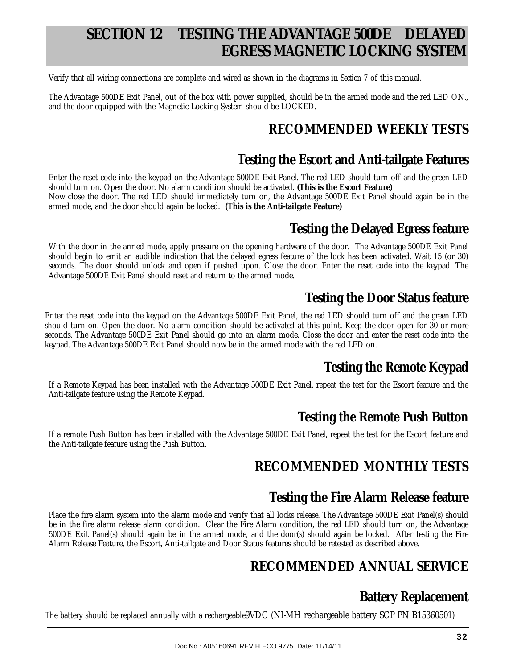# **SECTION 12 TESTING THE ADVANTAGE 500DE DELAYED EGRESS MAGNETIC LOCKING SYSTEM**

Verify that all wiring connections are complete and wired as shown in the diagrams in *Section 7* of this manual.

The Advantage 500DE Exit Panel, out of the box with power supplied, should be in the armed mode and the red LED ON., and the door equipped with the Magnetic Locking System should be LOCKED.

### **RECOMMENDED WEEKLY TESTS**

### **Testing the Escort and Anti-tailgate Features**

Enter the reset code into the keypad on the Advantage 500DE Exit Panel. The red LED should turn off and the green LED should turn on. Open the door. No alarm condition should be activated. **(This is the Escort Feature)**

Now close the door. The red LED should immediately turn on, the Advantage 500DE Exit Panel should again be in the armed mode, and the door should again be locked. **(This is the Anti-tailgate Feature)**

### **Testing the Delayed Egress feature**

With the door in the armed mode, apply pressure on the opening hardware of the door. The Advantage 500DE Exit Panel should begin to emit an audible indication that the delayed egress feature of the lock has been activated. Wait 15 (or 30) seconds. The door should unlock and open if pushed upon. Close the door. Enter the reset code into the keypad. The Advantage 500DE Exit Panel should reset and return to the armed mode.

### **Testing the Door Status feature**

Enter the reset code into the keypad on the Advantage 500DE Exit Panel, the red LED should turn off and the green LED should turn on. Open the door. No alarm condition should be activated at this point. Keep the door open for 30 or more seconds. The Advantage 500DE Exit Panel should go into an alarm mode. Close the door and enter the reset code into the keypad. The Advantage 500DE Exit Panel should now be in the armed mode with the red LED on.

### **Testing the Remote Keypad**

If a Remote Keypad has been installed with the Advantage 500DE Exit Panel, repeat the test for the Escort feature and the Anti-tailgate feature using the Remote Keypad.

### **Testing the Remote Push Button**

If a remote Push Button has been installed with the Advantage 500DE Exit Panel, repeat the test for the Escort feature and the Anti-tailgate feature using the Push Button.

### **RECOMMENDED MONTHLY TESTS**

### **Testing the Fire Alarm Release feature**

Place the fire alarm system into the alarm mode and verify that all locks release. The Advantage 500DE Exit Panel(s) should be in the fire alarm release alarm condition. Clear the Fire Alarm condition, the red LED should turn on, the Advantage 500DE Exit Panel(s) should again be in the armed mode, and the door(s) should again be locked. After testing the Fire Alarm Release Feature, the Escort, Anti-tailgate and Door Status features should be retested as described above.

### **RECOMMENDED ANNUAL SERVICE**

### **Battery Replacement**

The battery should be replaced annually with a rechargeable9VDC (NI-MH rechargeable battery SCP PN B15360501)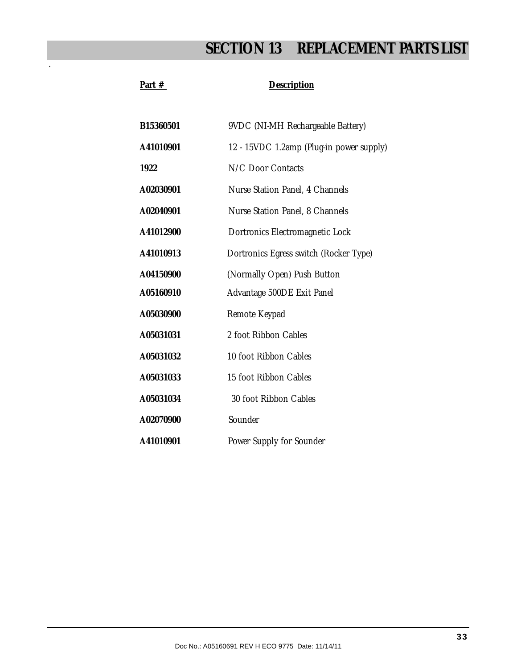# **SECTION 13 REPLACEMENT PARTS LIST**

| B15360501 | 9VDC (NI-MH Rechargeable Battery)        |
|-----------|------------------------------------------|
| A41010901 | 12 - 15VDC 1.2amp (Plug-in power supply) |
| 1922      | N/C Door Contacts                        |
| A02030901 | Nurse Station Panel, 4 Channels          |
| A02040901 | Nurse Station Panel, 8 Channels          |
| A41012900 | Dortronics Electromagnetic Lock          |
| A41010913 | Dortronics Egress switch (Rocker Type)   |
| A04150900 | (Normally Open) Push Button              |
| A05160910 | Advantage 500DE Exit Panel               |
| A05030900 | Remote Keypad                            |
| A05031031 | 2 foot Ribbon Cables                     |
| A05031032 | 10 foot Ribbon Cables                    |
| A05031033 | 15 foot Ribbon Cables                    |
| A05031034 | 30 foot Ribbon Cables                    |
| A02070900 | Sounder                                  |
| A41010901 | Power Supply for Sounder                 |

Part # Description

.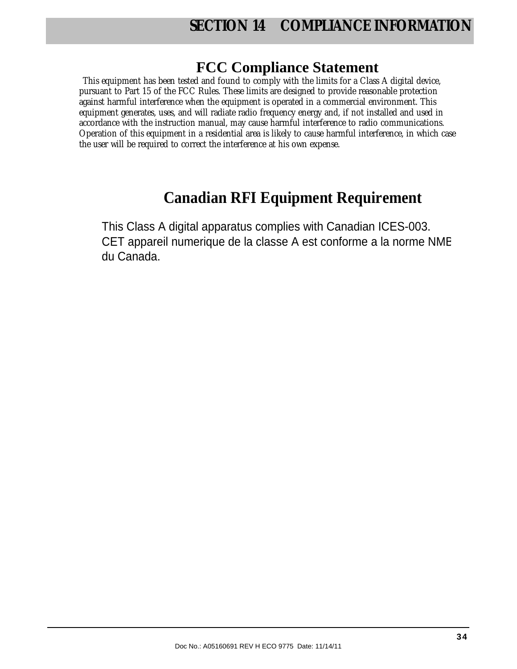# **FCC Compliance Statement**

This equipment has been tested and found to comply with the limits for a Class A digital device, pursuant to Part 15 of the FCC Rules. These limits are designed to provide reasonable protection against harmful interference when the equipment is operated in a commercial environment. This equipment generates, uses, and will radiate radio frequency energy and, if not installed and used in accordance with the instruction manual, may cause harmful interference to radio communications. Operation of this equipment in a residential area is likely to cause harmful interference, in which case the user will be required to correct the interference at his own expense.

# **Canadian RFI Equipment Requirement**

This Class A digital apparatus complies with Canadian ICES-003. CET appareil numerique de la classe A est conforme a la norme NMB du Canada.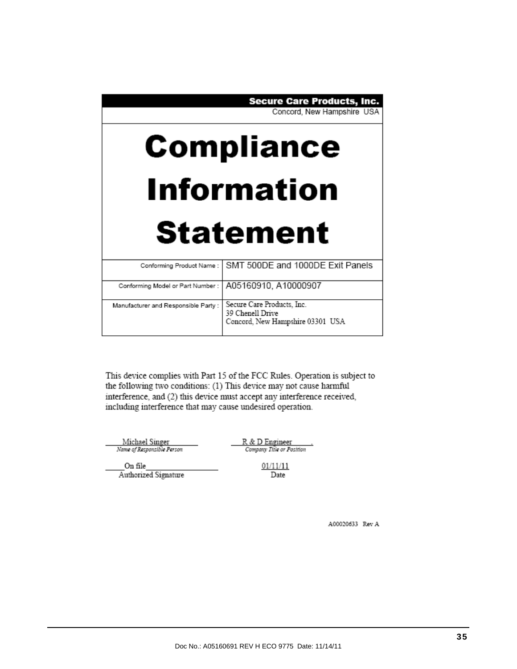#### **Secure Care Products, Inc.**

Concord, New Hampshire USA

# **Compliance Information**

# **Statement**

|                                                          | Conforming Product Name:   SMT 500DE and 1000DE Exit Panels |
|----------------------------------------------------------|-------------------------------------------------------------|
|                                                          |                                                             |
| Conforming Model or Part Number :   A05160910, A10000907 |                                                             |
|                                                          |                                                             |
| Manufacturer and Responsible Party :                     | Secure Care Products, Inc.                                  |
|                                                          |                                                             |
|                                                          | 39 Chenell Drive                                            |
|                                                          | Concord, New Hampshire 03301 USA                            |
|                                                          |                                                             |
|                                                          |                                                             |

This device complies with Part 15 of the FCC Rules. Operation is subject to the following two conditions: (1) This device may not cause harmful interference, and (2) this device must accept any interference received, including interference that may cause undesired operation.

Michael Singer<br>Name of Responsible Person

R & D Engineer<br>Company Title or Position

On file Authorized Signature 01/11/11 Date

A00020633 Rev A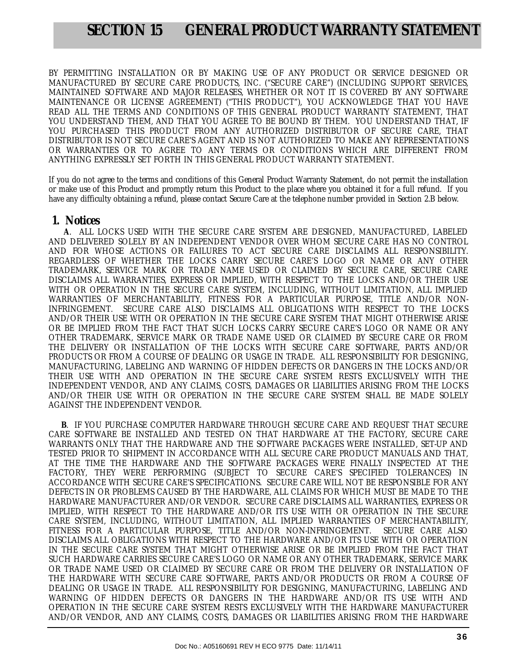### **SECTION 15 GENERAL PRODUCT WARRANTY STATEMENT**

BY PERMITTING INSTALLATION OR BY MAKING USE OF ANY PRODUCT OR SERVICE DESIGNED OR MANUFACTURED BY SECURE CARE PRODUCTS, INC. ("SECURE CARE") (INCLUDING SUPPORT SERVICES, MAINTAINED SOFTWARE AND MAJOR RELEASES, WHETHER OR NOT IT IS COVERED BY ANY SOFTWARE MAINTENANCE OR LICENSE AGREEMENT) ("THIS PRODUCT"), YOU ACKNOWLEDGE THAT YOU HAVE READ ALL THE TERMS AND CONDITIONS OF THIS GENERAL PRODUCT WARRANTY STATEMENT, THAT YOU UNDERSTAND THEM, AND THAT YOU AGREE TO BE BOUND BY THEM. YOU UNDERSTAND THAT, IF YOU PURCHASED THIS PRODUCT FROM ANY AUTHORIZED DISTRIBUTOR OF SECURE CARE, THAT DISTRIBUTOR IS NOT SECURE CARE'S AGENT AND IS NOT AUTHORIZED TO MAKE ANY REPRESENTATIONS OR WARRANTIES OR TO AGREE TO ANY TERMS OR CONDITIONS WHICH ARE DIFFERENT FROM ANYTHING EXPRESSLY SET FORTH IN THIS GENERAL PRODUCT WARRANTY STATEMENT.

If you do not agree to the terms and conditions of this General Product Warranty Statement, do not permit the installation or make use of this Product and promptly return this Product to the place where you obtained it for a full refund. If you have any difficulty obtaining a refund, please contact Secure Care at the telephone number provided in Section 2.B below.

#### **1. Notices**

 **A**. ALL LOCKS USED WITH THE SECURE CARE SYSTEM ARE DESIGNED, MANUFACTURED, LABELED AND DELIVERED SOLELY BY AN INDEPENDENT VENDOR OVER WHOM SECURE CARE HAS NO CONTROL AND FOR WHOSE ACTIONS OR FAILURES TO ACT SECURE CARE DISCLAIMS ALL RESPONSIBILITY. REGARDLESS OF WHETHER THE LOCKS CARRY SECURE CARE'S LOGO OR NAME OR ANY OTHER TRADEMARK, SERVICE MARK OR TRADE NAME USED OR CLAIMED BY SECURE CARE, SECURE CARE DISCLAIMS ALL WARRANTIES, EXPRESS OR IMPLIED, WITH RESPECT TO THE LOCKS AND/OR THEIR USE WITH OR OPERATION IN THE SECURE CARE SYSTEM, INCLUDING, WITHOUT LIMITATION, ALL IMPLIED WARRANTIES OF MERCHANTABILITY, FITNESS FOR A PARTICULAR PURPOSE, TITLE AND/OR NON-INFRINGEMENT. SECURE CARE ALSO DISCLAIMS ALL OBLIGATIONS WITH RESPECT TO THE LOCKS AND/OR THEIR USE WITH OR OPERATION IN THE SECURE CARE SYSTEM THAT MIGHT OTHERWISE ARISE OR BE IMPLIED FROM THE FACT THAT SUCH LOCKS CARRY SECURE CARE'S LOGO OR NAME OR ANY OTHER TRADEMARK, SERVICE MARK OR TRADE NAME USED OR CLAIMED BY SECURE CARE OR FROM THE DELIVERY OR INSTALLATION OF THE LOCKS WITH SECURE CARE SOFTWARE, PARTS AND/OR PRODUCTS OR FROM A COURSE OF DEALING OR USAGE IN TRADE. ALL RESPONSIBILITY FOR DESIGNING, MANUFACTURING, LABELING AND WARNING OF HIDDEN DEFECTS OR DANGERS IN THE LOCKS AND/OR THEIR USE WITH AND OPERATION IN THE SECURE CARE SYSTEM RESTS EXCLUSIVELY WITH THE INDEPENDENT VENDOR, AND ANY CLAIMS, COSTS, DAMAGES OR LIABILITIES ARISING FROM THE LOCKS AND/OR THEIR USE WITH OR OPERATION IN THE SECURE CARE SYSTEM SHALL BE MADE SOLELY AGAINST THE INDEPENDENT VENDOR.

 **B**. IF YOU PURCHASE COMPUTER HARDWARE THROUGH SECURE CARE AND REQUEST THAT SECURE CARE SOFTWARE BE INSTALLED AND TESTED ON THAT HARDWARE AT THE FACTORY, SECURE CARE WARRANTS ONLY THAT THE HARDWARE AND THE SOFTWARE PACKAGES WERE INSTALLED, SET-UP AND TESTED PRIOR TO SHIPMENT IN ACCORDANCE WITH ALL SECURE CARE PRODUCT MANUALS AND THAT, AT THE TIME THE HARDWARE AND THE SOFTWARE PACKAGES WERE FINALLY INSPECTED AT THE FACTORY, THEY WERE PERFORMING (SUBJECT TO SECURE CARE'S SPECIFIED TOLERANCES) IN ACCORDANCE WITH SECURE CARE'S SPECIFICATIONS. SECURE CARE WILL NOT BE RESPONSIBLE FOR ANY DEFECTS IN OR PROBLEMS CAUSED BY THE HARDWARE, ALL CLAIMS FOR WHICH MUST BE MADE TO THE HARDWARE MANUFACTURER AND/OR VENDOR. SECURE CARE DISCLAIMS ALL WARRANTIES, EXPRESS OR IMPLIED, WITH RESPECT TO THE HARDWARE AND/OR ITS USE WITH OR OPERATION IN THE SECURE CARE SYSTEM, INCLUDING, WITHOUT LIMITATION, ALL IMPLIED WARRANTIES OF MERCHANTABILITY, FITNESS FOR A PARTICULAR PURPOSE, TITLE AND/OR NON-INFRINGEMENT. SECURE CARE ALSO DISCLAIMS ALL OBLIGATIONS WITH RESPECT TO THE HARDWARE AND/OR ITS USE WITH OR OPERATION IN THE SECURE CARE SYSTEM THAT MIGHT OTHERWISE ARISE OR BE IMPLIED FROM THE FACT THAT SUCH HARDWARE CARRIES SECURE CARE'S LOGO OR NAME OR ANY OTHER TRADEMARK, SERVICE MARK OR TRADE NAME USED OR CLAIMED BY SECURE CARE OR FROM THE DELIVERY OR INSTALLATION OF THE HARDWARE WITH SECURE CARE SOFTWARE, PARTS AND/OR PRODUCTS OR FROM A COURSE OF DEALING OR USAGE IN TRADE. ALL RESPONSIBILITY FOR DESIGNING, MANUFACTURING, LABELING AND WARNING OF HIDDEN DEFECTS OR DANGERS IN THE HARDWARE AND/OR ITS USE WITH AND OPERATION IN THE SECURE CARE SYSTEM RESTS EXCLUSIVELY WITH THE HARDWARE MANUFACTURER AND/OR VENDOR, AND ANY CLAIMS, COSTS, DAMAGES OR LIABILITIES ARISING FROM THE HARDWARE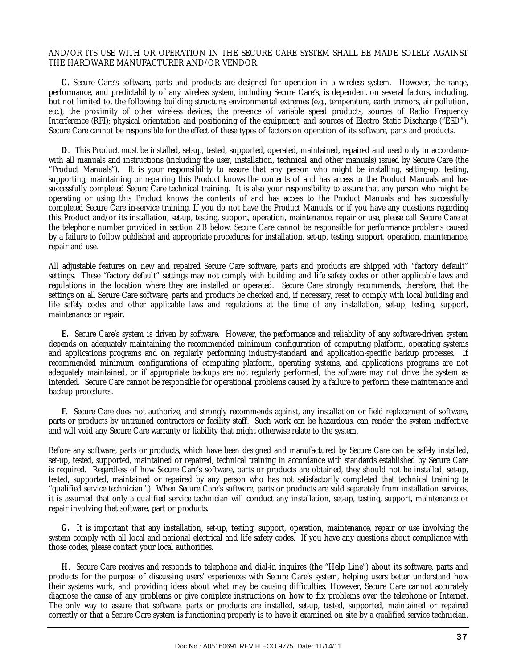#### AND/OR ITS USE WITH OR OPERATION IN THE SECURE CARE SYSTEM SHALL BE MADE SOLELY AGAINST THE HARDWARE MANUFACTURER AND/OR VENDOR.

 **C.** Secure Care's software, parts and products are designed for operation in a wireless system. However, the range, performance, and predictability of any wireless system, including Secure Care's, is dependent on several factors, including, but not limited to, the following: building structure; environmental extremes (e.g., temperature, earth tremors, air pollution, etc.); the proximity of other wireless devices; the presence of variable speed products; sources of Radio Frequency Interference (RFI); physical orientation and positioning of the equipment; and sources of Electro Static Discharge ("ESD"). Secure Care cannot be responsible for the effect of these types of factors on operation of its software, parts and products.

 **D**. This Product must be installed, set-up, tested, supported, operated, maintained, repaired and used only in accordance with all manuals and instructions (including the user, installation, technical and other manuals) issued by Secure Care (the "Product Manuals"). It is your responsibility to assure that any person who might be installing, setting-up, testing, supporting, maintaining or repairing this Product knows the contents of and has access to the Product Manuals and has successfully completed Secure Care technical training. It is also your responsibility to assure that any person who might be operating or using this Product knows the contents of and has access to the Product Manuals and has successfully completed Secure Care in-service training. If you do not have the Product Manuals, or if you have any questions regarding this Product and/or its installation, set-up, testing, support, operation, maintenance, repair or use, please call Secure Care at the telephone number provided in section 2.B below. Secure Care cannot be responsible for performance problems caused by a failure to follow published and appropriate procedures for installation, set-up, testing, support, operation, maintenance, repair and use.

All adjustable features on new and repaired Secure Care software, parts and products are shipped with "factory default" settings. These "factory default" settings may not comply with building and life safety codes or other applicable laws and regulations in the location where they are installed or operated. Secure Care strongly recommends, therefore, that the settings on all Secure Care software, parts and products be checked and, if necessary, reset to comply with local building and life safety codes and other applicable laws and regulations at the time of any installation, set-up, testing, support, maintenance or repair.

 **E.** Secure Care's system is driven by software. However, the performance and reliability of any software-driven system depends on adequately maintaining the recommended minimum configuration of computing platform, operating systems and applications programs and on regularly performing industry-standard and application-specific backup processes. If recommended minimum configurations of computing platform, operating systems, and applications programs are not adequately maintained, or if appropriate backups are not regularly performed, the software may not drive the system as intended. Secure Care cannot be responsible for operational problems caused by a failure to perform these maintenance and backup procedures.

 **F**. Secure Care does not authorize, and strongly recommends against, any installation or field replacement of software, parts or products by untrained contractors or facility staff. Such work can be hazardous, can render the system ineffective and will void any Secure Care warranty or liability that might otherwise relate to the system.

Before any software, parts or products, which have been designed and manufactured by Secure Care can be safely installed, set-up, tested, supported, maintained or repaired, technical training in accordance with standards established by Secure Care is required. Regardless of how Secure Care's software, parts or products are obtained, they should not be installed, set-up, tested, supported, maintained or repaired by any person who has not satisfactorily completed that technical training (a "qualified service technician".) When Secure Care's software, parts or products are sold separately from installation services, it is assumed that only a qualified service technician will conduct any installation, set-up, testing, support, maintenance or repair involving that software, part or products.

 **G.** It is important that any installation, set-up, testing, support, operation, maintenance, repair or use involving the system comply with all local and national electrical and life safety codes. If you have any questions about compliance with those codes, please contact your local authorities.

 **H**. Secure Care receives and responds to telephone and dial-in inquires (the "Help Line") about its software, parts and products for the purpose of discussing users' experiences with Secure Care's system, helping users better understand how their systems work, and providing ideas about what may be causing difficulties. However, Secure Care cannot accurately diagnose the cause of any problems or give complete instructions on how to fix problems over the telephone or Internet. The only way to assure that software, parts or products are installed, set-up, tested, supported, maintained or repaired correctly or that a Secure Care system is functioning properly is to have it examined on site by a qualified service technician.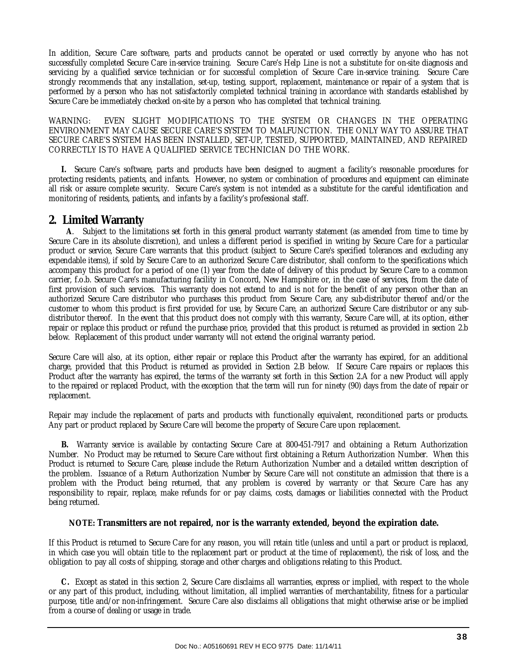In addition, Secure Care software, parts and products cannot be operated or used correctly by anyone who has not successfully completed Secure Care in-service training. Secure Care's Help Line is not a substitute for on-site diagnosis and servicing by a qualified service technician or for successful completion of Secure Care in-service training. Secure Care strongly recommends that any installation, set-up, testing, support, replacement, maintenance or repair of a system that is performed by a person who has not satisfactorily completed technical training in accordance with standards established by Secure Care be immediately checked on-site by a person who has completed that technical training.

WARNING: EVEN SLIGHT MODIFICATIONS TO THE SYSTEM OR CHANGES IN THE OPERATING ENVIRONMENT MAY CAUSE SECURE CARE'S SYSTEM TO MALFUNCTION. THE ONLY WAY TO ASSURE THAT SECURE CARE'S SYSTEM HAS BEEN INSTALLED, SET-UP, TESTED, SUPPORTED, MAINTAINED, AND REPAIRED CORRECTLY IS TO HAVE A QUALIFIED SERVICE TECHNICIAN DO THE WORK.

 **I.** Secure Care's software, parts and products have been designed to augment a facility's reasonable procedures for protecting residents, patients, and infants. However, no system or combination of procedures and equipment can eliminate all risk or assure complete security. Secure Care's system is not intended as a substitute for the careful identification and monitoring of residents, patients, and infants by a facility's professional staff.

#### **2. Limited Warranty**

 **A**. Subject to the limitations set forth in this general product warranty statement (as amended from time to time by Secure Care in its absolute discretion), and unless a different period is specified in writing by Secure Care for a particular product or service, Secure Care warrants that this product (subject to Secure Care's specified tolerances and excluding any expendable items), if sold by Secure Care to an authorized Secure Care distributor, shall conform to the specifications which accompany this product for a period of one (1) year from the date of delivery of this product by Secure Care to a common carrier, f.o.b. Secure Care's manufacturing facility in Concord, New Hampshire or, in the case of services, from the date of first provision of such services. This warranty does not extend to and is not for the benefit of any person other than an authorized Secure Care distributor who purchases this product from Secure Care, any sub-distributor thereof and/or the customer to whom this product is first provided for use, by Secure Care, an authorized Secure Care distributor or any subdistributor thereof. In the event that this product does not comply with this warranty, Secure Care will, at its option, either repair or replace this product or refund the purchase price, provided that this product is returned as provided in section 2.b below. Replacement of this product under warranty will not extend the original warranty period.

Secure Care will also, at its option, either repair or replace this Product after the warranty has expired, for an additional charge, provided that this Product is returned as provided in Section 2.B below. If Secure Care repairs or replaces this Product after the warranty has expired, the terms of the warranty set forth in this Section 2.A for a new Product will apply to the repaired or replaced Product, with the exception that the term will run for ninety (90) days from the date of repair or replacement.

Repair may include the replacement of parts and products with functionally equivalent, reconditioned parts or products. Any part or product replaced by Secure Care will become the property of Secure Care upon replacement.

 **B.** Warranty service is available by contacting Secure Care at 800-451-7917 and obtaining a Return Authorization Number. No Product may be returned to Secure Care without first obtaining a Return Authorization Number. When this Product is returned to Secure Care, please include the Return Authorization Number and a detailed written description of the problem. Issuance of a Return Authorization Number by Secure Care will not constitute an admission that there is a problem with the Product being returned, that any problem is covered by warranty or that Secure Care has any responsibility to repair, replace, make refunds for or pay claims, costs, damages or liabilities connected with the Product being returned.

#### **NOTE: Transmitters are not repaired, nor is the warranty extended, beyond the expiration date.**

If this Product is returned to Secure Care for any reason, you will retain title (unless and until a part or product is replaced, in which case you will obtain title to the replacement part or product at the time of replacement), the risk of loss, and the obligation to pay all costs of shipping, storage and other charges and obligations relating to this Product.

 **C.** Except as stated in this section 2, Secure Care disclaims all warranties, express or implied, with respect to the whole or any part of this product, including, without limitation, all implied warranties of merchantability, fitness for a particular purpose, title and/or non-infringement. Secure Care also disclaims all obligations that might otherwise arise or be implied from a course of dealing or usage in trade.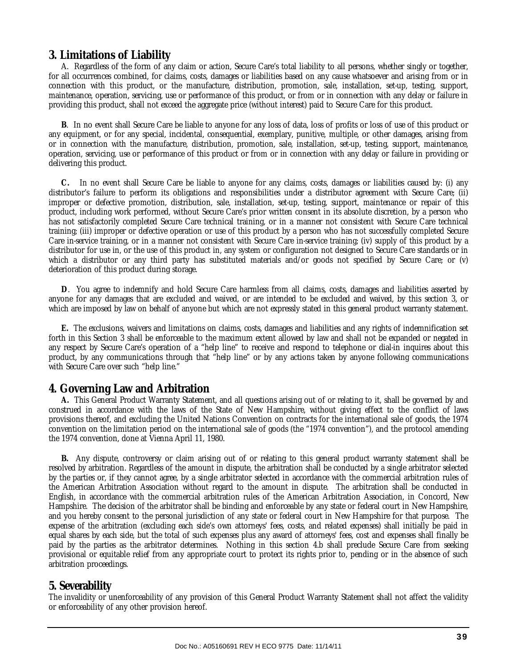### **3. Limitations of Liability**

 A. Regardless of the form of any claim or action, Secure Care's total liability to all persons, whether singly or together, for all occurrences combined, for claims, costs, damages or liabilities based on any cause whatsoever and arising from or in connection with this product, or the manufacture, distribution, promotion, sale, installation, set-up, testing, support, maintenance, operation, servicing, use or performance of this product, or from or in connection with any delay or failure in providing this product, shall not exceed the aggregate price (without interest) paid to Secure Care for this product.

 **B**. In no event shall Secure Care be liable to anyone for any loss of data, loss of profits or loss of use of this product or any equipment, or for any special, incidental, consequential, exemplary, punitive, multiple, or other damages, arising from or in connection with the manufacture, distribution, promotion, sale, installation, set-up, testing, support, maintenance, operation, servicing, use or performance of this product or from or in connection with any delay or failure in providing or delivering this product.

 **C.** In no event shall Secure Care be liable to anyone for any claims, costs, damages or liabilities caused by: (i) any distributor's failure to perform its obligations and responsibilities under a distributor agreement with Secure Care; (ii) improper or defective promotion, distribution, sale, installation, set-up, testing, support, maintenance or repair of this product, including work performed, without Secure Care's prior written consent in its absolute discretion, by a person who has not satisfactorily completed Secure Care technical training, or in a manner not consistent with Secure Care technical training; (iii) improper or defective operation or use of this product by a person who has not successfully completed Secure Care in-service training, or in a manner not consistent with Secure Care in-service training; (iv) supply of this product by a distributor for use in, or the use of this product in, any system or configuration not designed to Secure Care standards or in which a distributor or any third party has substituted materials and/or goods not specified by Secure Care; or (v) deterioration of this product during storage.

 **D**. You agree to indemnify and hold Secure Care harmless from all claims, costs, damages and liabilities asserted by anyone for any damages that are excluded and waived, or are intended to be excluded and waived, by this section 3, or which are imposed by law on behalf of anyone but which are not expressly stated in this general product warranty statement.

 **E.** The exclusions, waivers and limitations on claims, costs, damages and liabilities and any rights of indemnification set forth in this Section 3 shall be enforceable to the maximum extent allowed by law and shall not be expanded or negated in any respect by Secure Care's operation of a "help line" to receive and respond to telephone or dial-in inquires about this product, by any communications through that "help line" or by any actions taken by anyone following communications with Secure Care over such "help line."

#### **4. Governing Law and Arbitration**

 **A.** This General Product Warranty Statement, and all questions arising out of or relating to it, shall be governed by and construed in accordance with the laws of the State of New Hampshire, without giving effect to the conflict of laws provisions thereof, and excluding the United Nations Convention on contracts for the international sale of goods, the 1974 convention on the limitation period on the international sale of goods (the "1974 convention"), and the protocol amending the 1974 convention, done at Vienna April 11, 1980.

 **B.** Any dispute, controversy or claim arising out of or relating to this general product warranty statement shall be resolved by arbitration. Regardless of the amount in dispute, the arbitration shall be conducted by a single arbitrator selected by the parties or, if they cannot agree, by a single arbitrator selected in accordance with the commercial arbitration rules of the American Arbitration Association without regard to the amount in dispute. The arbitration shall be conducted in English, in accordance with the commercial arbitration rules of the American Arbitration Association, in Concord, New Hampshire. The decision of the arbitrator shall be binding and enforceable by any state or federal court in New Hampshire, and you hereby consent to the personal jurisdiction of any state or federal court in New Hampshire for that purpose. The expense of the arbitration (excluding each side's own attorneys' fees, costs, and related expenses) shall initially be paid in equal shares by each side, but the total of such expenses plus any award of attorneys' fees, cost and expenses shall finally be paid by the parties as the arbitrator determines. Nothing in this section 4.b shall preclude Secure Care from seeking provisional or equitable relief from any appropriate court to protect its rights prior to, pending or in the absence of such arbitration proceedings.

#### **5. Severability**

The invalidity or unenforceability of any provision of this General Product Warranty Statement shall not affect the validity or enforceability of any other provision hereof.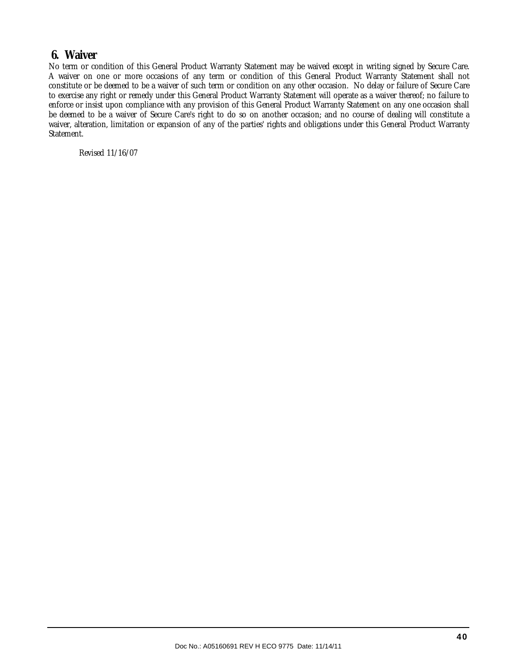### **6. Waiver**

No term or condition of this General Product Warranty Statement may be waived except in writing signed by Secure Care. A waiver on one or more occasions of any term or condition of this General Product Warranty Statement shall not constitute or be deemed to be a waiver of such term or condition on any other occasion. No delay or failure of Secure Care to exercise any right or remedy under this General Product Warranty Statement will operate as a waiver thereof; no failure to enforce or insist upon compliance with any provision of this General Product Warranty Statement on any one occasion shall be deemed to be a waiver of Secure Care's right to do so on another occasion; and no course of dealing will constitute a waiver, alteration, limitation or expansion of any of the parties' rights and obligations under this General Product Warranty Statement.

Revised 11/16/07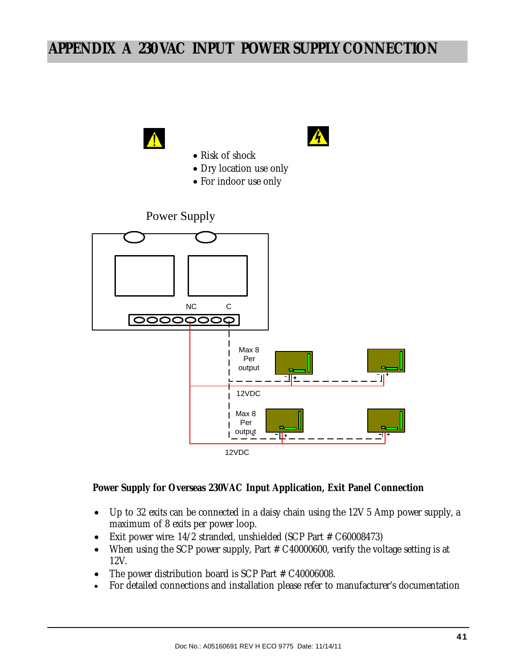# **APPENDIX A 230 VAC INPUT POWER SUPPLY CONNECTION**



#### **Power Supply for Overseas 230VAC Input Application, Exit Panel Connection**

- Up to 32 exits can be connected in a daisy chain using the 12V 5 Amp power supply, a maximum of 8 exits per power loop.
- Exit power wire: 14/2 stranded, unshielded (SCP Part # C60008473)
- When using the SCP power supply, Part  $#$  C40000600, verify the voltage setting is at 12V.
- The power distribution board is SCP Part # C40006008.
- For detailed connections and installation please refer to manufacturer's documentation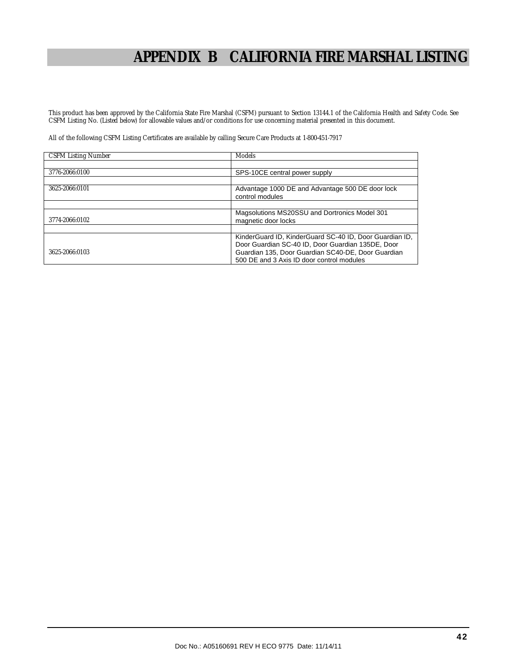# **APPENDIX B CALIFORNIA FIRE MARSHAL LISTING**

This product has been approved by the California State Fire Marshal (CSFM) pursuant to Section 13144.1 of the California Health and Safety Code. See CSFM Listing No. (Listed below) for allowable values and/or conditions for use concerning material presented in this document.

All of the following CSFM Listing Certificates are available by calling Secure Care Products at 1-800-451-7917

| <b>CSFM Listing Number</b> | <b>Models</b>                                                                                                                                                                                                   |
|----------------------------|-----------------------------------------------------------------------------------------------------------------------------------------------------------------------------------------------------------------|
|                            |                                                                                                                                                                                                                 |
| 3776-2066:0100             | SPS-10CE central power supply                                                                                                                                                                                   |
|                            |                                                                                                                                                                                                                 |
| 3625-2066:0101             | Advantage 1000 DE and Advantage 500 DE door lock<br>control modules                                                                                                                                             |
|                            |                                                                                                                                                                                                                 |
| 3774-2066:0102             | Magsolutions MS20SSU and Dortronics Model 301<br>magnetic door locks                                                                                                                                            |
|                            |                                                                                                                                                                                                                 |
| 3625-2066:0103             | KinderGuard ID, KinderGuard SC-40 ID, Door Guardian ID,<br>Door Guardian SC-40 ID, Door Guardian 135DE, Door<br>Guardian 135, Door Guardian SC40-DE, Door Guardian<br>500 DE and 3 Axis ID door control modules |